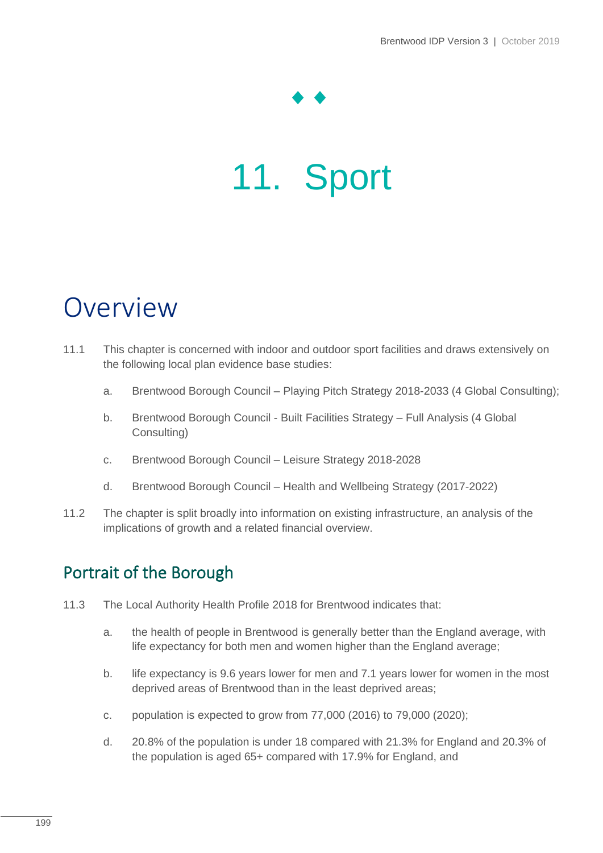# 11. Sport

## Overview

- 11.1 This chapter is concerned with indoor and outdoor sport facilities and draws extensively on the following local plan evidence base studies:
	- a. Brentwood Borough Council Playing Pitch Strategy 2018-2033 (4 Global Consulting);
	- b. Brentwood Borough Council Built Facilities Strategy Full Analysis (4 Global Consulting)
	- c. Brentwood Borough Council Leisure Strategy 2018-2028
	- d. Brentwood Borough Council Health and Wellbeing Strategy (2017-2022)
- 11.2 The chapter is split broadly into information on existing infrastructure, an analysis of the implications of growth and a related financial overview.

## Portrait of the Borough

- 11.3 The Local Authority Health Profile 2018 for Brentwood indicates that:
	- a. the health of people in Brentwood is generally better than the England average, with life expectancy for both men and women higher than the England average;
	- b. life expectancy is 9.6 years lower for men and 7.1 years lower for women in the most deprived areas of Brentwood than in the least deprived areas;
	- c. population is expected to grow from 77,000 (2016) to 79,000 (2020);
	- d. 20.8% of the population is under 18 compared with 21.3% for England and 20.3% of the population is aged 65+ compared with 17.9% for England, and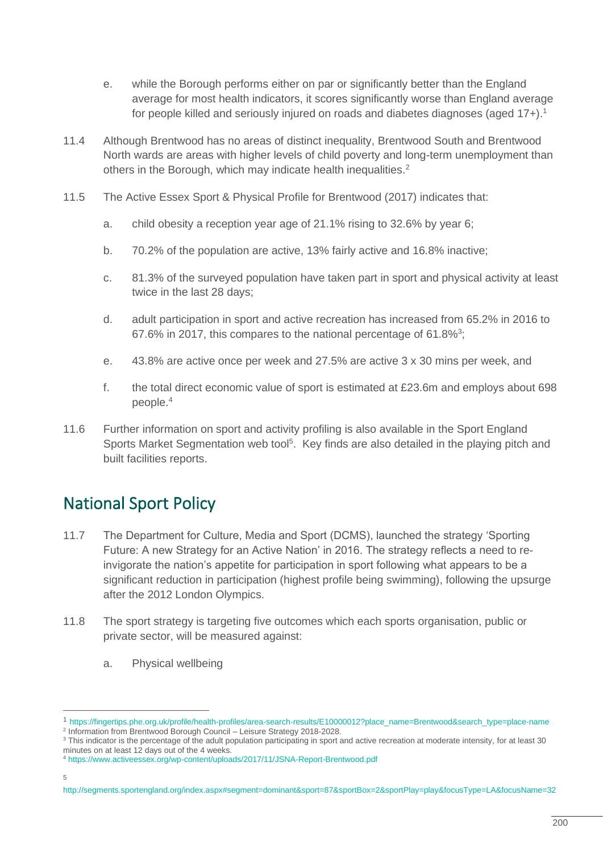- e. while the Borough performs either on par or significantly better than the England average for most health indicators, it scores significantly worse than England average for people killed and seriously injured on roads and diabetes diagnoses (aged 17+).<sup>1</sup>
- 11.4 Although Brentwood has no areas of distinct inequality, Brentwood South and Brentwood North wards are areas with higher levels of child poverty and long-term unemployment than others in the Borough, which may indicate health inequalities.<sup>2</sup>
- 11.5 The Active Essex Sport & Physical Profile for Brentwood (2017) indicates that:
	- a. child obesity a reception year age of 21.1% rising to 32.6% by year 6;
	- b. 70.2% of the population are active, 13% fairly active and 16.8% inactive;
	- c. 81.3% of the surveyed population have taken part in sport and physical activity at least twice in the last 28 days;
	- d. adult participation in sport and active recreation has increased from 65.2% in 2016 to 67.6% in 2017, this compares to the national percentage of 61.8% $3$ ;
	- e. 43.8% are active once per week and 27.5% are active 3 x 30 mins per week, and
	- f. the total direct economic value of sport is estimated at  $£23.6m$  and employs about 698 people.<sup>4</sup>
- 11.6 Further information on sport and activity profiling is also available in the Sport England Sports Market Segmentation web tool<sup>5</sup>. Key finds are also detailed in the playing pitch and built facilities reports.

## National Sport Policy

- 11.7 The Department for Culture, Media and Sport (DCMS), launched the strategy 'Sporting Future: A new Strategy for an Active Nation' in 2016. The strategy reflects a need to reinvigorate the nation's appetite for participation in sport following what appears to be a significant reduction in participation (highest profile being swimming), following the upsurge after the 2012 London Olympics.
- 11.8 The sport strategy is targeting five outcomes which each sports organisation, public or private sector, will be measured against:
	- a. Physical wellbeing

<sup>1</sup> [https://fingertips.phe.org.uk/profile/health-profiles/area-search-results/E10000012?place\\_name=Brentwood&search\\_type=place-name](https://fingertips.phe.org.uk/profile/health-profiles/area-search-results/E10000012?place_name=Brentwood&search_type=place-name)

<sup>&</sup>lt;sup>2</sup> Information from Brentwood Borough Council - Leisure Strategy 2018-2028.

<sup>3</sup> This indicator is the percentage of the adult population participating in sport and active recreation at moderate intensity, for at least 30 minutes on at least 12 days out of the 4 weeks.

<sup>4</sup> <https://www.activeessex.org/wp-content/uploads/2017/11/JSNA-Report-Brentwood.pdf>

<sup>5</sup>

<http://segments.sportengland.org/index.aspx#segment=dominant&sport=87&sportBox=2&sportPlay=play&focusType=LA&focusName=32>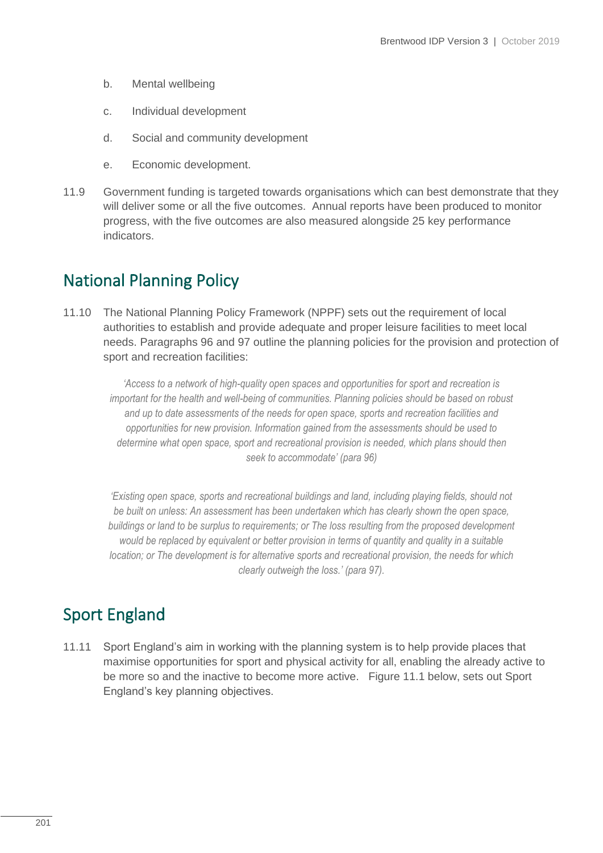- b. Mental wellbeing
- c. Individual development
- d. Social and community development
- e. Economic development.
- 11.9 Government funding is targeted towards organisations which can best demonstrate that they will deliver some or all the five outcomes. Annual reports have been produced to monitor progress, with the five outcomes are also measured alongside 25 key performance indicators.

### National Planning Policy

11.10 The National Planning Policy Framework (NPPF) sets out the requirement of local authorities to establish and provide adequate and proper leisure facilities to meet local needs. Paragraphs 96 and 97 outline the planning policies for the provision and protection of sport and recreation facilities:

*'Access to a network of high-quality open spaces and opportunities for sport and recreation is important for the health and well-being of communities. Planning policies should be based on robust and up to date assessments of the needs for open space, sports and recreation facilities and opportunities for new provision. Information gained from the assessments should be used to determine what open space, sport and recreational provision is needed, which plans should then seek to accommodate' (para 96)*

*'Existing open space, sports and recreational buildings and land, including playing fields, should not be built on unless: An assessment has been undertaken which has clearly shown the open space, buildings or land to be surplus to requirements; or The loss resulting from the proposed development would be replaced by equivalent or better provision in terms of quantity and quality in a suitable location; or The development is for alternative sports and recreational provision, the needs for which clearly outweigh the loss.' (para 97).*

## Sport England

11.11 Sport England's aim in working with the planning system is to help provide places that maximise opportunities for sport and physical activity for all, enabling the already active to be more so and the inactive to become more active. Figure 11.1 below, sets out Sport England's key planning objectives.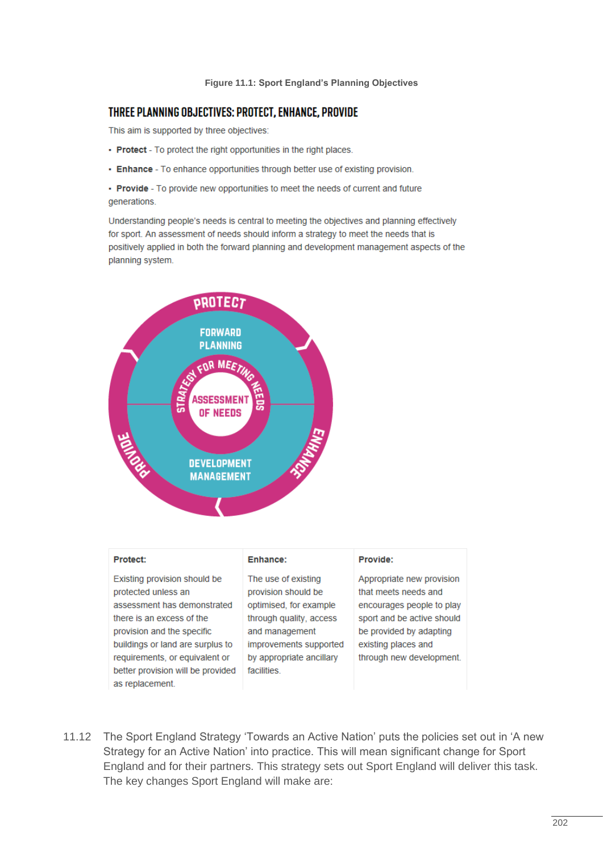#### **Figure 11.1: Sport England's Planning Objectives**

#### THREE PLANNING OBJECTIVES: PROTECT, ENHANCE, PROVIDE

This aim is supported by three objectives:

- Protect To protect the right opportunities in the right places.
- Enhance To enhance opportunities through better use of existing provision.
- Provide To provide new opportunities to meet the needs of current and future generations.

Understanding people's needs is central to meeting the objectives and planning effectively for sport. An assessment of needs should inform a strategy to meet the needs that is positively applied in both the forward planning and development management aspects of the planning system.



#### **Protect:**

Existing provision should be protected unless an assessment has demonstrated there is an excess of the provision and the specific buildings or land are surplus to requirements, or equivalent or better provision will be provided as replacement.

#### Enhance:

The use of existing provision should be optimised, for example through quality, access and management improvements supported by appropriate ancillary facilities.

#### Provide:

Appropriate new provision that meets needs and encourages people to play sport and be active should be provided by adapting existing places and through new development.

11.12 The Sport England Strategy 'Towards an Active Nation' puts the policies set out in 'A new Strategy for an Active Nation' into practice. This will mean significant change for Sport England and for their partners. This strategy sets out Sport England will deliver this task. The key changes Sport England will make are: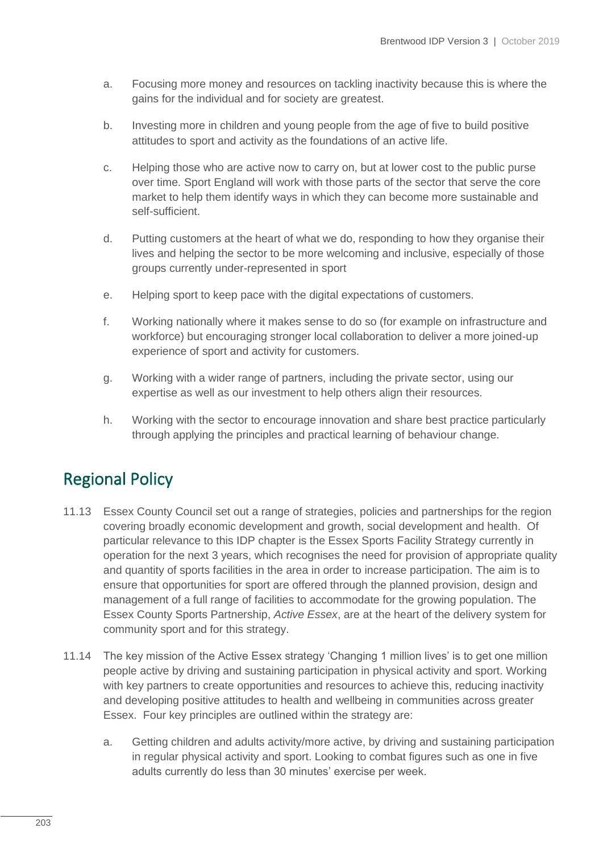- a. Focusing more money and resources on tackling inactivity because this is where the gains for the individual and for society are greatest.
- b. Investing more in children and young people from the age of five to build positive attitudes to sport and activity as the foundations of an active life.
- c. Helping those who are active now to carry on, but at lower cost to the public purse over time. Sport England will work with those parts of the sector that serve the core market to help them identify ways in which they can become more sustainable and self-sufficient.
- d. Putting customers at the heart of what we do, responding to how they organise their lives and helping the sector to be more welcoming and inclusive, especially of those groups currently under-represented in sport
- e. Helping sport to keep pace with the digital expectations of customers.
- f. Working nationally where it makes sense to do so (for example on infrastructure and workforce) but encouraging stronger local collaboration to deliver a more joined-up experience of sport and activity for customers.
- g. Working with a wider range of partners, including the private sector, using our expertise as well as our investment to help others align their resources.
- h. Working with the sector to encourage innovation and share best practice particularly through applying the principles and practical learning of behaviour change.

## Regional Policy

- 11.13 Essex County Council set out a range of strategies, policies and partnerships for the region covering broadly economic development and growth, social development and health. Of particular relevance to this IDP chapter is the Essex Sports Facility Strategy currently in operation for the next 3 years, which recognises the need for provision of appropriate quality and quantity of sports facilities in the area in order to increase participation. The aim is to ensure that opportunities for sport are offered through the planned provision, design and management of a full range of facilities to accommodate for the growing population. The Essex County Sports Partnership, *Active Essex*, are at the heart of the delivery system for community sport and for this strategy.
- 11.14 The key mission of the Active Essex strategy 'Changing 1 million lives' is to get one million people active by driving and sustaining participation in physical activity and sport. Working with key partners to create opportunities and resources to achieve this, reducing inactivity and developing positive attitudes to health and wellbeing in communities across greater Essex. Four key principles are outlined within the strategy are:
	- a. Getting children and adults activity/more active, by driving and sustaining participation in regular physical activity and sport. Looking to combat figures such as one in five adults currently do less than 30 minutes' exercise per week.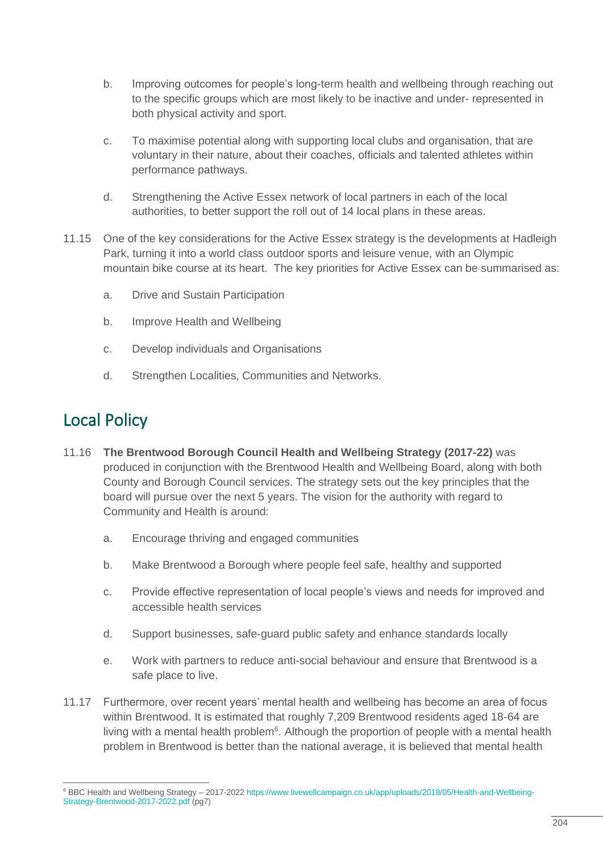- b. Improving outcomes for people's long-term health and wellbeing through reaching out to the specific groups which are most likely to be inactive and under- represented in both physical activity and sport.
- c. To maximise potential along with supporting local clubs and organisation, that are voluntary in their nature, about their coaches, officials and talented athletes within performance pathways.
- d. Strengthening the Active Essex network of local partners in each of the local authorities, to better support the roll out of 14 local plans in these areas.
- 11.15 One of the key considerations for the Active Essex strategy is the developments at Hadleigh Park, turning it into a world class outdoor sports and leisure venue, with an Olympic mountain bike course at its heart. The key priorities for Active Essex can be summarised as:
	- a. Drive and Sustain Participation
	- b. Improve Health and Wellbeing
	- c. Develop individuals and Organisations
	- d. Strengthen Localities, Communities and Networks.

## Local Policy

- 11.16 **The Brentwood Borough Council Health and Wellbeing Strategy (2017-22)** was produced in conjunction with the Brentwood Health and Wellbeing Board, along with both County and Borough Council services. The strategy sets out the key principles that the board will pursue over the next 5 years. The vision for the authority with regard to Community and Health is around:
	- a. Encourage thriving and engaged communities
	- b. Make Brentwood a Borough where people feel safe, healthy and supported
	- c. Provide effective representation of local people's views and needs for improved and accessible health services
	- d. Support businesses, safe-guard public safety and enhance standards locally
	- e. Work with partners to reduce anti-social behaviour and ensure that Brentwood is a safe place to live.
- 11.17 Furthermore, over recent years' mental health and wellbeing has become an area of focus within Brentwood. It is estimated that roughly 7,209 Brentwood residents aged 18-64 are living with a mental health problem<sup>6</sup>. Although the proportion of people with a mental health problem in Brentwood is better than the national average, it is believed that mental health

<sup>6</sup> BBC Health and Wellbeing Strategy – 2017-2022 [https://www.livewellcampaign.co.uk/app/uploads/2018/05/Health-and-Wellbeing-](https://www.livewellcampaign.co.uk/app/uploads/2018/05/Health-and-Wellbeing-Strategy-Brentwood-2017-2022.pdf)[Strategy-Brentwood-2017-2022.pdf](https://www.livewellcampaign.co.uk/app/uploads/2018/05/Health-and-Wellbeing-Strategy-Brentwood-2017-2022.pdf) (pg7)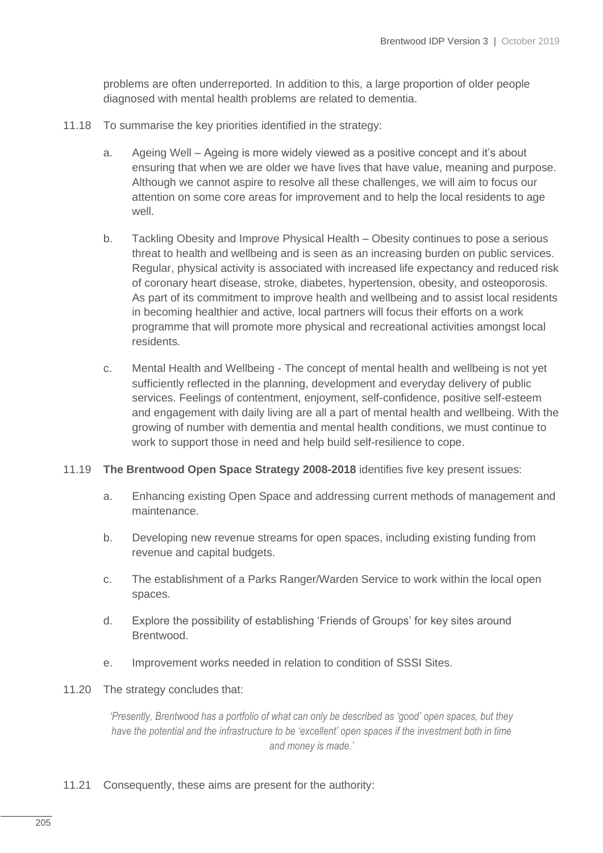problems are often underreported. In addition to this, a large proportion of older people diagnosed with mental health problems are related to dementia.

- 11.18 To summarise the key priorities identified in the strategy:
	- a. Ageing Well Ageing is more widely viewed as a positive concept and it's about ensuring that when we are older we have lives that have value, meaning and purpose. Although we cannot aspire to resolve all these challenges, we will aim to focus our attention on some core areas for improvement and to help the local residents to age well.
	- b. Tackling Obesity and Improve Physical Health Obesity continues to pose a serious threat to health and wellbeing and is seen as an increasing burden on public services. Regular, physical activity is associated with increased life expectancy and reduced risk of coronary heart disease, stroke, diabetes, hypertension, obesity, and osteoporosis. As part of its commitment to improve health and wellbeing and to assist local residents in becoming healthier and active, local partners will focus their efforts on a work programme that will promote more physical and recreational activities amongst local residents.
	- c. Mental Health and Wellbeing The concept of mental health and wellbeing is not yet sufficiently reflected in the planning, development and everyday delivery of public services. Feelings of contentment, enjoyment, self-confidence, positive self-esteem and engagement with daily living are all a part of mental health and wellbeing. With the growing of number with dementia and mental health conditions, we must continue to work to support those in need and help build self-resilience to cope.
- 11.19 **The Brentwood Open Space Strategy 2008-2018** identifies five key present issues:
	- a. Enhancing existing Open Space and addressing current methods of management and maintenance.
	- b. Developing new revenue streams for open spaces, including existing funding from revenue and capital budgets.
	- c. The establishment of a Parks Ranger/Warden Service to work within the local open spaces.
	- d. Explore the possibility of establishing 'Friends of Groups' for key sites around Brentwood.
	- e. Improvement works needed in relation to condition of SSSI Sites.
- 11.20 The strategy concludes that:

*'Presently, Brentwood has a portfolio of what can only be described as 'good' open spaces, but they have the potential and the infrastructure to be 'excellent' open spaces if the investment both in time and money is made.'*

11.21 Consequently, these aims are present for the authority: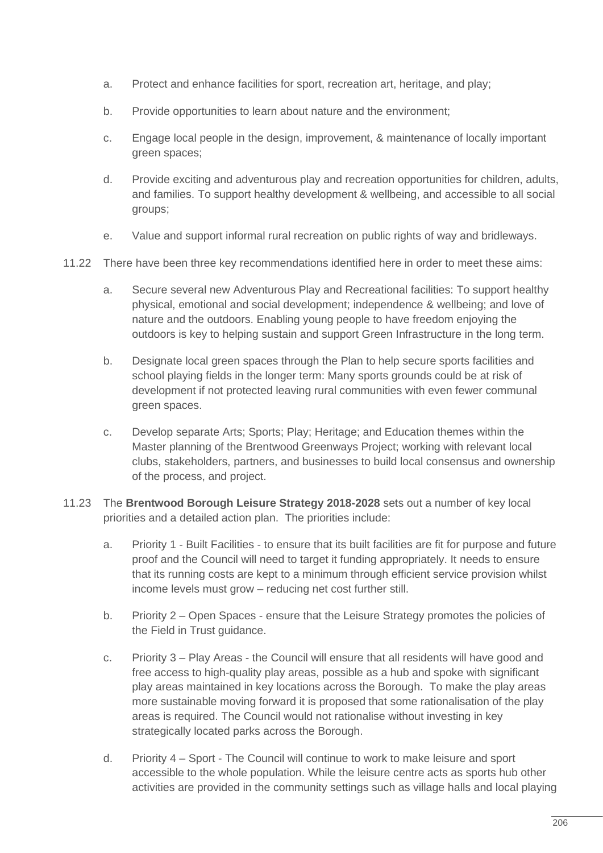- a. Protect and enhance facilities for sport, recreation art, heritage, and play;
- b. Provide opportunities to learn about nature and the environment;
- c. Engage local people in the design, improvement, & maintenance of locally important green spaces;
- d. Provide exciting and adventurous play and recreation opportunities for children, adults, and families. To support healthy development & wellbeing, and accessible to all social groups;
- e. Value and support informal rural recreation on public rights of way and bridleways.
- 11.22 There have been three key recommendations identified here in order to meet these aims:
	- a. Secure several new Adventurous Play and Recreational facilities: To support healthy physical, emotional and social development; independence & wellbeing; and love of nature and the outdoors. Enabling young people to have freedom enjoying the outdoors is key to helping sustain and support Green Infrastructure in the long term.
	- b. Designate local green spaces through the Plan to help secure sports facilities and school playing fields in the longer term: Many sports grounds could be at risk of development if not protected leaving rural communities with even fewer communal green spaces.
	- c. Develop separate Arts; Sports; Play; Heritage; and Education themes within the Master planning of the Brentwood Greenways Project; working with relevant local clubs, stakeholders, partners, and businesses to build local consensus and ownership of the process, and project.
- 11.23 The **Brentwood Borough Leisure Strategy 2018-2028** sets out a number of key local priorities and a detailed action plan. The priorities include:
	- a. Priority 1 Built Facilities to ensure that its built facilities are fit for purpose and future proof and the Council will need to target it funding appropriately. It needs to ensure that its running costs are kept to a minimum through efficient service provision whilst income levels must grow – reducing net cost further still.
	- b. Priority 2 Open Spaces ensure that the Leisure Strategy promotes the policies of the Field in Trust guidance.
	- c. Priority 3 Play Areas the Council will ensure that all residents will have good and free access to high-quality play areas, possible as a hub and spoke with significant play areas maintained in key locations across the Borough. To make the play areas more sustainable moving forward it is proposed that some rationalisation of the play areas is required. The Council would not rationalise without investing in key strategically located parks across the Borough.
	- d. Priority 4 Sport The Council will continue to work to make leisure and sport accessible to the whole population. While the leisure centre acts as sports hub other activities are provided in the community settings such as village halls and local playing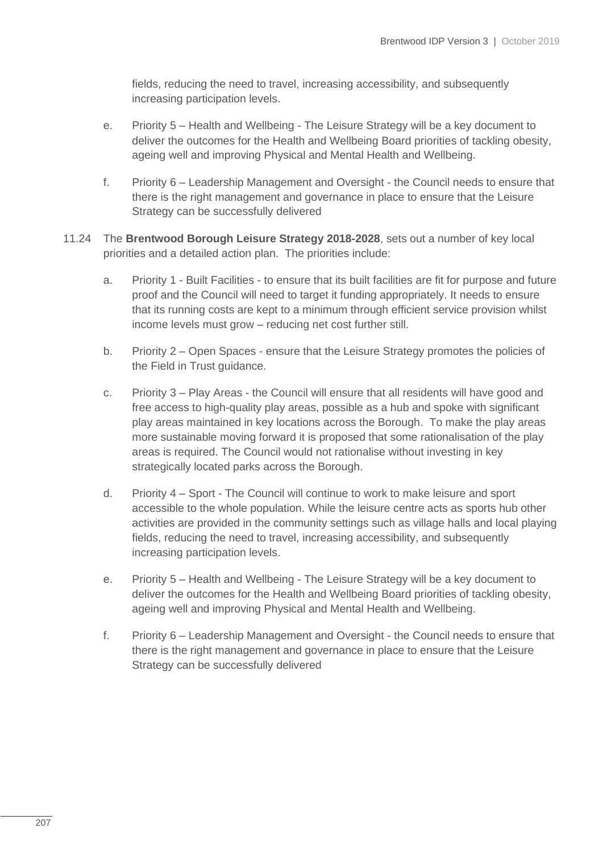fields, reducing the need to travel, increasing accessibility, and subsequently increasing participation levels.

- e. Priority 5 Health and Wellbeing The Leisure Strategy will be a key document to deliver the outcomes for the Health and Wellbeing Board priorities of tackling obesity, ageing well and improving Physical and Mental Health and Wellbeing.
- f. Priority 6 Leadership Management and Oversight the Council needs to ensure that there is the right management and governance in place to ensure that the Leisure Strategy can be successfully delivered
- 11.24 The **Brentwood Borough Leisure Strategy 2018-2028**, sets out a number of key local priorities and a detailed action plan. The priorities include:
	- a. Priority 1 Built Facilities to ensure that its built facilities are fit for purpose and future proof and the Council will need to target it funding appropriately. It needs to ensure that its running costs are kept to a minimum through efficient service provision whilst income levels must grow – reducing net cost further still.
	- b. Priority 2 Open Spaces ensure that the Leisure Strategy promotes the policies of the Field in Trust guidance.
	- c. Priority 3 Play Areas the Council will ensure that all residents will have good and free access to high-quality play areas, possible as a hub and spoke with significant play areas maintained in key locations across the Borough. To make the play areas more sustainable moving forward it is proposed that some rationalisation of the play areas is required. The Council would not rationalise without investing in key strategically located parks across the Borough.
	- d. Priority 4 Sport The Council will continue to work to make leisure and sport accessible to the whole population. While the leisure centre acts as sports hub other activities are provided in the community settings such as village halls and local playing fields, reducing the need to travel, increasing accessibility, and subsequently increasing participation levels.
	- e. Priority 5 Health and Wellbeing The Leisure Strategy will be a key document to deliver the outcomes for the Health and Wellbeing Board priorities of tackling obesity, ageing well and improving Physical and Mental Health and Wellbeing.
	- f. Priority 6 Leadership Management and Oversight the Council needs to ensure that there is the right management and governance in place to ensure that the Leisure Strategy can be successfully delivered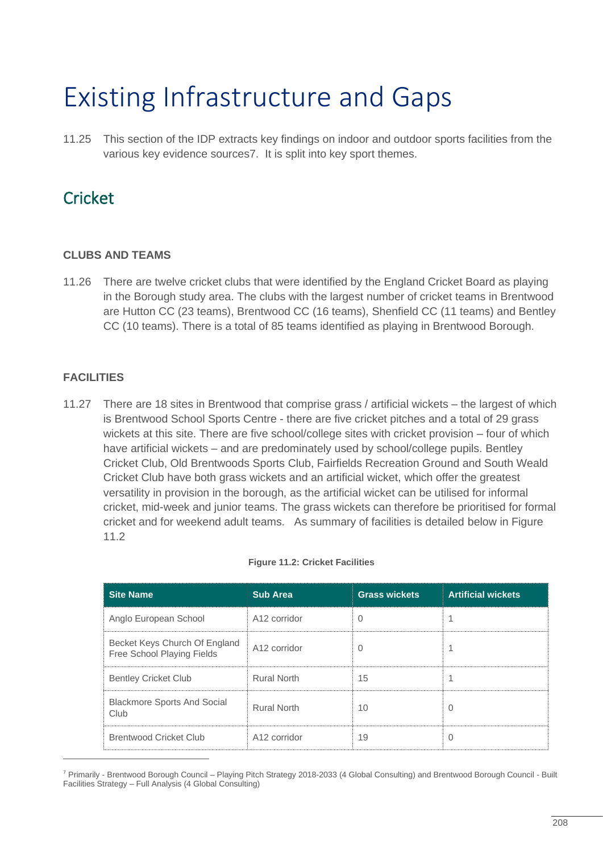## Existing Infrastructure and Gaps

11.25 This section of the IDP extracts key findings on indoor and outdoor sports facilities from the various key evidence sources7. It is split into key sport themes.

### **Cricket**

#### **CLUBS AND TEAMS**

11.26 There are twelve cricket clubs that were identified by the England Cricket Board as playing in the Borough study area. The clubs with the largest number of cricket teams in Brentwood are Hutton CC (23 teams), Brentwood CC (16 teams), Shenfield CC (11 teams) and Bentley CC (10 teams). There is a total of 85 teams identified as playing in Brentwood Borough.

#### **FACILITIES**

11.27 There are 18 sites in Brentwood that comprise grass / artificial wickets – the largest of which is Brentwood School Sports Centre - there are five cricket pitches and a total of 29 grass wickets at this site. There are five school/college sites with cricket provision – four of which have artificial wickets – and are predominately used by school/college pupils. Bentley Cricket Club, Old Brentwoods Sports Club, Fairfields Recreation Ground and South Weald Cricket Club have both grass wickets and an artificial wicket, which offer the greatest versatility in provision in the borough, as the artificial wicket can be utilised for informal cricket, mid-week and junior teams. The grass wickets can therefore be prioritised for formal cricket and for weekend adult teams. As summary of facilities is detailed below in Figure 11.2

| <b>Site Name</b>                                            | <b>Sub Area</b>          | <b>Grass wickets</b> | <b>Artificial wickets</b> |
|-------------------------------------------------------------|--------------------------|----------------------|---------------------------|
| Anglo European School                                       | A12 corridor             |                      |                           |
| Becket Keys Church Of England<br>Free School Playing Fields | A <sub>12</sub> corridor |                      |                           |
| <b>Bentley Cricket Club</b>                                 | <b>Rural North</b>       | 15                   |                           |
| <b>Blackmore Sports And Social</b><br>Club                  | <b>Rural North</b>       | 10                   |                           |
| <b>Brentwood Cricket Club</b>                               | A12 corridor             | 19                   |                           |

#### **Figure 11.2: Cricket Facilities**

<sup>7</sup> Primarily - Brentwood Borough Council – Playing Pitch Strategy 2018-2033 (4 Global Consulting) and Brentwood Borough Council - Built Facilities Strategy – Full Analysis (4 Global Consulting)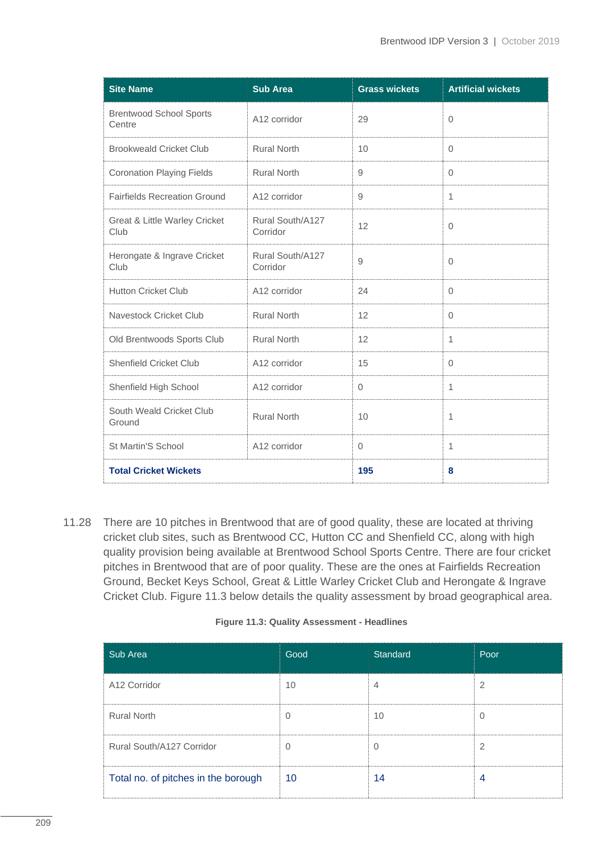| <b>Site Name</b>                         | <b>Sub Area</b>              | <b>Grass wickets</b> | <b>Artificial wickets</b> |
|------------------------------------------|------------------------------|----------------------|---------------------------|
| <b>Brentwood School Sports</b><br>Centre | A12 corridor                 | 29                   | $\mathbf{0}$              |
| <b>Brookweald Cricket Club</b>           | <b>Rural North</b>           | 10                   | $\Omega$                  |
| <b>Coronation Playing Fields</b>         | <b>Rural North</b>           | 9                    | $\Omega$                  |
| <b>Fairfields Recreation Ground</b>      | A12 corridor                 | 9                    | $\mathbf{1}$              |
| Great & Little Warley Cricket<br>Club    | Rural South/A127<br>Corridor | 12                   | $\mathbf{0}$              |
| Herongate & Ingrave Cricket<br>Club      | Rural South/A127<br>Corridor | 9                    | $\mathbf{0}$              |
| <b>Hutton Cricket Club</b>               | A12 corridor                 | 24                   | $\mathbf{0}$              |
| Navestock Cricket Club                   | <b>Rural North</b>           | 12                   | $\Omega$                  |
| Old Brentwoods Sports Club               | <b>Rural North</b>           | 12                   | $\mathbf{1}$              |
| <b>Shenfield Cricket Club</b>            | A12 corridor                 | 15                   | $\Omega$                  |
| Shenfield High School                    | A12 corridor                 | $\overline{O}$       | $\mathbf{1}$              |
| South Weald Cricket Club<br>Ground       | <b>Rural North</b>           | 10                   | 1                         |
| St Martin'S School                       | A12 corridor                 | $\mathbf{0}$         | $\mathbf{1}$              |
| <b>Total Cricket Wickets</b>             |                              | 195                  | 8                         |

11.28 There are 10 pitches in Brentwood that are of good quality, these are located at thriving cricket club sites, such as Brentwood CC, Hutton CC and Shenfield CC, along with high quality provision being available at Brentwood School Sports Centre. There are four cricket pitches in Brentwood that are of poor quality. These are the ones at Fairfields Recreation Ground, Becket Keys School, Great & Little Warley Cricket Club and Herongate & Ingrave Cricket Club. Figure 11.3 below details the quality assessment by broad geographical area.

| Figure 11.3: Quality Assessment - Headlines |  |  |
|---------------------------------------------|--|--|
|---------------------------------------------|--|--|

| Sub Area                            | Good       | Standard | Poor |
|-------------------------------------|------------|----------|------|
| A12 Corridor                        | 10         | 4        |      |
| <b>Rural North</b>                  |            | 10       |      |
| Rural South/A127 Corridor           | 0          |          |      |
| Total no. of pitches in the borough | $\vert$ 10 | 14       |      |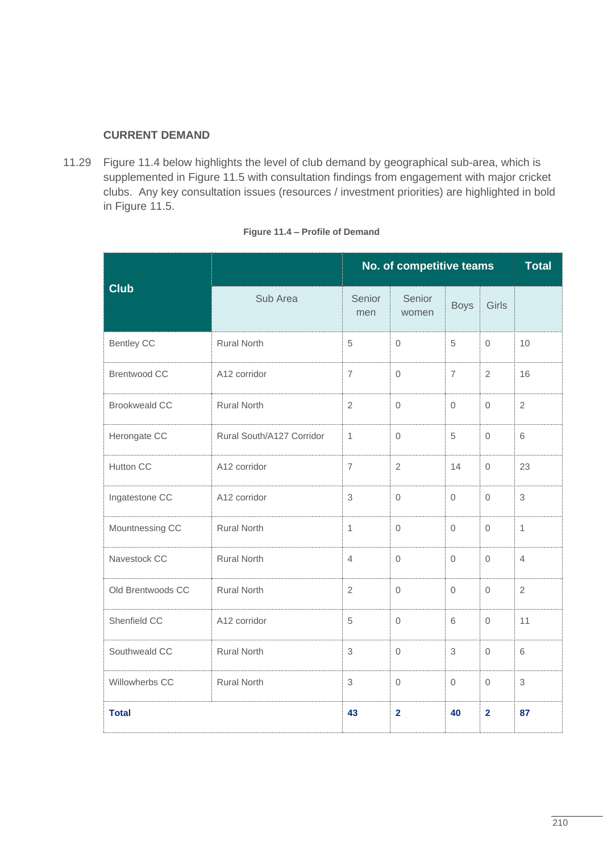#### **CURRENT DEMAND**

11.29 Figure 11.4 below highlights the level of club demand by geographical sub-area, which is supplemented in Figure 11.5 with consultation findings from engagement with major cricket clubs. Any key consultation issues (resources / investment priorities) are highlighted in bold in Figure 11.5.

|                         |                           |                | No. of competitive teams |                     |                     |                |  |
|-------------------------|---------------------------|----------------|--------------------------|---------------------|---------------------|----------------|--|
| <b>Club</b><br>Sub Area |                           | Senior<br>men  | Senior<br>women          | <b>Boys</b>         | Girls               |                |  |
| <b>Bentley CC</b>       | <b>Rural North</b>        | $\sqrt{5}$     | $\mathsf{O}\xspace$      | 5                   | $\mathsf{O}\xspace$ | 10             |  |
| <b>Brentwood CC</b>     | A12 corridor              | $\overline{7}$ | $\mathbf 0$              | $\overline{7}$      | $\mathbf{2}$        | 16             |  |
| <b>Brookweald CC</b>    | <b>Rural North</b>        | $\overline{2}$ | $\Omega$                 | $\Omega$            | $\Omega$            | $\overline{2}$ |  |
| Herongate CC            | Rural South/A127 Corridor | 1              | $\mathbf{0}$             | 5                   | $\mathbf{0}$        | 6              |  |
| Hutton CC               | A12 corridor              | $\overline{7}$ | $\mathbf{2}$             | 14                  | $\Omega$            | 23             |  |
| Ingatestone CC          | A12 corridor              | $\mathfrak 3$  | $\mathsf{O}\xspace$      | $\mathsf{O}\xspace$ | $\mathbf 0$         | 3              |  |
| Mountnessing CC         | <b>Rural North</b>        | 1              | $\mathbf{0}$             | $\mathbf{0}$        | $\mathbf{0}$        | $\mathbf{1}$   |  |
| Navestock CC            | <b>Rural North</b>        | $\overline{4}$ | $\Omega$                 | $\Omega$            | $\Omega$            | $\overline{4}$ |  |
| Old Brentwoods CC       | <b>Rural North</b>        | 2              | $\Omega$                 | $\Omega$            | $\Omega$            | $\overline{2}$ |  |
| Shenfield CC            | A12 corridor              | 5              | $\Omega$                 | 6                   | $\Omega$            | 11             |  |
| Southweald CC           | <b>Rural North</b>        | $\mathfrak 3$  | $\mathbf 0$              | 3                   | $\mathbf 0$         | 6              |  |
| Willowherbs CC          | <b>Rural North</b>        | 3              | $\mathsf{O}\xspace$      | $\mathbf{0}$        | $\mathbf{0}$        | 3              |  |
| <b>Total</b>            |                           | 43             | $\overline{2}$           | 40                  | $\overline{2}$      | 87             |  |

#### **Figure 11.4 – Profile of Demand**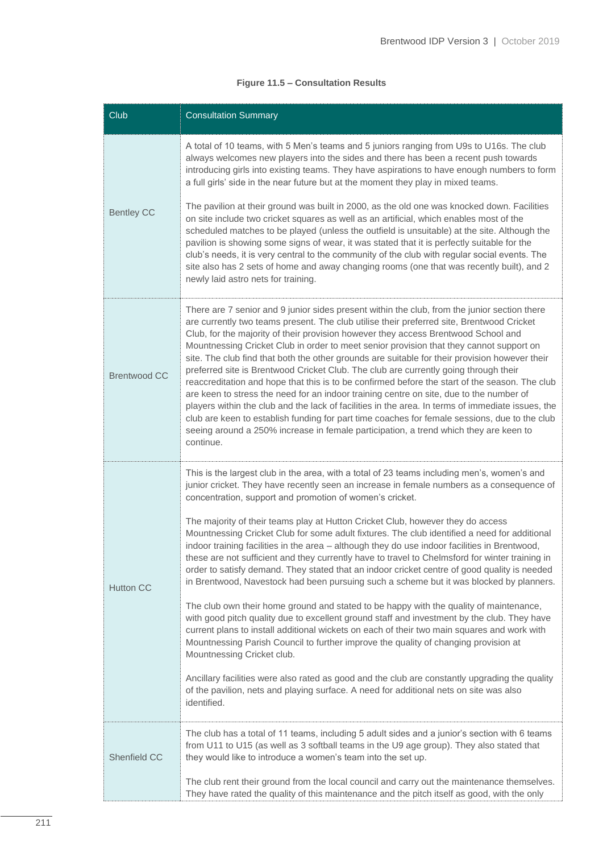#### **Figure 11.5 – Consultation Results**

| Club                | <b>Consultation Summary</b>                                                                                                                                                                                                                                                                                                                                                                                                                                                                                                                                                                                                                                                                                                                                                                                                                                                                                                                                                                                                                                                   |
|---------------------|-------------------------------------------------------------------------------------------------------------------------------------------------------------------------------------------------------------------------------------------------------------------------------------------------------------------------------------------------------------------------------------------------------------------------------------------------------------------------------------------------------------------------------------------------------------------------------------------------------------------------------------------------------------------------------------------------------------------------------------------------------------------------------------------------------------------------------------------------------------------------------------------------------------------------------------------------------------------------------------------------------------------------------------------------------------------------------|
|                     | A total of 10 teams, with 5 Men's teams and 5 juniors ranging from U9s to U16s. The club<br>always welcomes new players into the sides and there has been a recent push towards<br>introducing girls into existing teams. They have aspirations to have enough numbers to form<br>a full girls' side in the near future but at the moment they play in mixed teams.                                                                                                                                                                                                                                                                                                                                                                                                                                                                                                                                                                                                                                                                                                           |
| <b>Bentley CC</b>   | The pavilion at their ground was built in 2000, as the old one was knocked down. Facilities<br>on site include two cricket squares as well as an artificial, which enables most of the<br>scheduled matches to be played (unless the outfield is unsuitable) at the site. Although the<br>pavilion is showing some signs of wear, it was stated that it is perfectly suitable for the<br>club's needs, it is very central to the community of the club with regular social events. The<br>site also has 2 sets of home and away changing rooms (one that was recently built), and 2<br>newly laid astro nets for training.                                                                                                                                                                                                                                                                                                                                                                                                                                                    |
| <b>Brentwood CC</b> | There are 7 senior and 9 junior sides present within the club, from the junior section there<br>are currently two teams present. The club utilise their preferred site, Brentwood Cricket<br>Club, for the majority of their provision however they access Brentwood School and<br>Mountnessing Cricket Club in order to meet senior provision that they cannot support on<br>site. The club find that both the other grounds are suitable for their provision however their<br>preferred site is Brentwood Cricket Club. The club are currently going through their<br>reaccreditation and hope that this is to be confirmed before the start of the season. The club<br>are keen to stress the need for an indoor training centre on site, due to the number of<br>players within the club and the lack of facilities in the area. In terms of immediate issues, the<br>club are keen to establish funding for part time coaches for female sessions, due to the club<br>seeing around a 250% increase in female participation, a trend which they are keen to<br>continue. |
|                     | This is the largest club in the area, with a total of 23 teams including men's, women's and<br>junior cricket. They have recently seen an increase in female numbers as a consequence of<br>concentration, support and promotion of women's cricket.                                                                                                                                                                                                                                                                                                                                                                                                                                                                                                                                                                                                                                                                                                                                                                                                                          |
| <b>Hutton CC</b>    | The majority of their teams play at Hutton Cricket Club, however they do access<br>Mountnessing Cricket Club for some adult fixtures. The club identified a need for additional<br>indoor training facilities in the area - although they do use indoor facilities in Brentwood,<br>these are not sufficient and they currently have to travel to Chelmsford for winter training in<br>order to satisfy demand. They stated that an indoor cricket centre of good quality is needed<br>in Brentwood, Navestock had been pursuing such a scheme but it was blocked by planners.                                                                                                                                                                                                                                                                                                                                                                                                                                                                                                |
|                     | The club own their home ground and stated to be happy with the quality of maintenance,<br>with good pitch quality due to excellent ground staff and investment by the club. They have<br>current plans to install additional wickets on each of their two main squares and work with<br>Mountnessing Parish Council to further improve the quality of changing provision at<br>Mountnessing Cricket club.                                                                                                                                                                                                                                                                                                                                                                                                                                                                                                                                                                                                                                                                     |
|                     | Ancillary facilities were also rated as good and the club are constantly upgrading the quality<br>of the pavilion, nets and playing surface. A need for additional nets on site was also<br>identified.                                                                                                                                                                                                                                                                                                                                                                                                                                                                                                                                                                                                                                                                                                                                                                                                                                                                       |
| Shenfield CC        | The club has a total of 11 teams, including 5 adult sides and a junior's section with 6 teams<br>from U11 to U15 (as well as 3 softball teams in the U9 age group). They also stated that<br>they would like to introduce a women's team into the set up.                                                                                                                                                                                                                                                                                                                                                                                                                                                                                                                                                                                                                                                                                                                                                                                                                     |
|                     | The club rent their ground from the local council and carry out the maintenance themselves.<br>They have rated the quality of this maintenance and the pitch itself as good, with the only                                                                                                                                                                                                                                                                                                                                                                                                                                                                                                                                                                                                                                                                                                                                                                                                                                                                                    |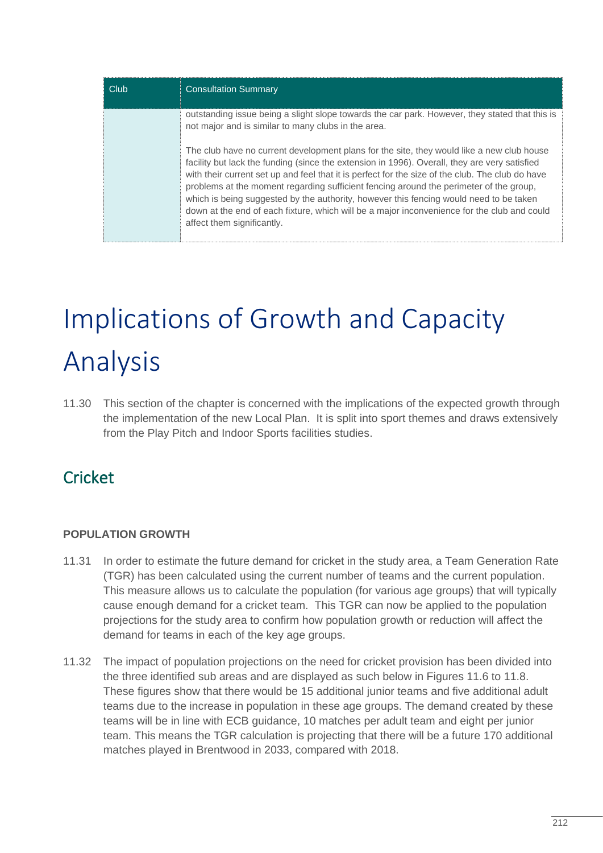| Club | <b>Consultation Summary</b>                                                                                                                                                                                                                                                                                                                                                                                                                                                                                                                                                                                     |
|------|-----------------------------------------------------------------------------------------------------------------------------------------------------------------------------------------------------------------------------------------------------------------------------------------------------------------------------------------------------------------------------------------------------------------------------------------------------------------------------------------------------------------------------------------------------------------------------------------------------------------|
|      | outstanding issue being a slight slope towards the car park. However, they stated that this is<br>not major and is similar to many clubs in the area.                                                                                                                                                                                                                                                                                                                                                                                                                                                           |
|      | The club have no current development plans for the site, they would like a new club house<br>facility but lack the funding (since the extension in 1996). Overall, they are very satisfied<br>with their current set up and feel that it is perfect for the size of the club. The club do have<br>problems at the moment regarding sufficient fencing around the perimeter of the group,<br>which is being suggested by the authority, however this fencing would need to be taken<br>down at the end of each fixture, which will be a major inconvenience for the club and could<br>affect them significantly. |

## Implications of Growth and Capacity Analysis

11.30 This section of the chapter is concerned with the implications of the expected growth through the implementation of the new Local Plan. It is split into sport themes and draws extensively from the Play Pitch and Indoor Sports facilities studies.

## Cricket

#### **POPULATION GROWTH**

- 11.31 In order to estimate the future demand for cricket in the study area, a Team Generation Rate (TGR) has been calculated using the current number of teams and the current population. This measure allows us to calculate the population (for various age groups) that will typically cause enough demand for a cricket team. This TGR can now be applied to the population projections for the study area to confirm how population growth or reduction will affect the demand for teams in each of the key age groups.
- 11.32 The impact of population projections on the need for cricket provision has been divided into the three identified sub areas and are displayed as such below in Figures 11.6 to 11.8. These figures show that there would be 15 additional junior teams and five additional adult teams due to the increase in population in these age groups. The demand created by these teams will be in line with ECB guidance, 10 matches per adult team and eight per junior team. This means the TGR calculation is projecting that there will be a future 170 additional matches played in Brentwood in 2033, compared with 2018.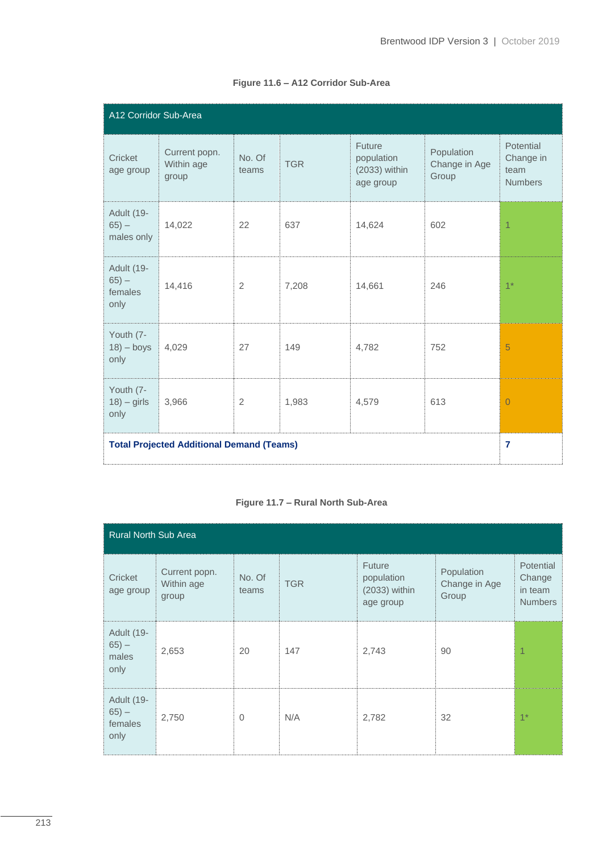| A12 Corridor Sub-Area                          |                                                  |                 |            |                                                    |                                      |                                                  |
|------------------------------------------------|--------------------------------------------------|-----------------|------------|----------------------------------------------------|--------------------------------------|--------------------------------------------------|
| Cricket<br>age group                           | Current popn.<br>Within age<br>group             | No. Of<br>teams | <b>TGR</b> | Future<br>population<br>(2033) within<br>age group | Population<br>Change in Age<br>Group | Potential<br>Change in<br>team<br><b>Numbers</b> |
| Adult (19-<br>$65 -$<br>males only             | 14,022                                           | 22              | 637        | 14,624                                             | 602                                  | $\overline{1}$                                   |
| <b>Adult (19-</b><br>$65 -$<br>females<br>only | 14,416                                           | $\overline{2}$  | 7,208      | 14,661                                             | 246                                  | $1*$                                             |
| Youth (7-<br>$18$ ) – boys<br>only             | 4,029                                            | 27              | 149        | 4,782                                              | 752                                  | 5                                                |
| Youth (7-<br>$18) - girls$<br>only             | 3,966                                            | $\overline{2}$  | 1,983      | 4,579                                              | 613                                  | $\overline{0}$                                   |
|                                                | <b>Total Projected Additional Demand (Teams)</b> |                 |            |                                                    |                                      | $\overline{7}$                                   |

#### **Figure 11.6 – A12 Corridor Sub-Area**

#### **Figure 11.7 – Rural North Sub-Area**

| Rural North Sub Area                           |                                      |                 |            |                                                           |                                      |                                                  |
|------------------------------------------------|--------------------------------------|-----------------|------------|-----------------------------------------------------------|--------------------------------------|--------------------------------------------------|
| Cricket<br>age group                           | Current popn.<br>Within age<br>group | No. Of<br>teams | <b>TGR</b> | <b>Future</b><br>population<br>(2033) within<br>age group | Population<br>Change in Age<br>Group | Potential<br>Change<br>in team<br><b>Numbers</b> |
| Adult (19-<br>$65 -$<br>males<br>only          | 2,653                                | 20              | 147        | 2,743                                                     | 90                                   | 1                                                |
| <b>Adult (19-</b><br>$65 -$<br>females<br>only | 2,750                                | $\Omega$        | N/A        | 2,782                                                     | 32                                   | $1*$                                             |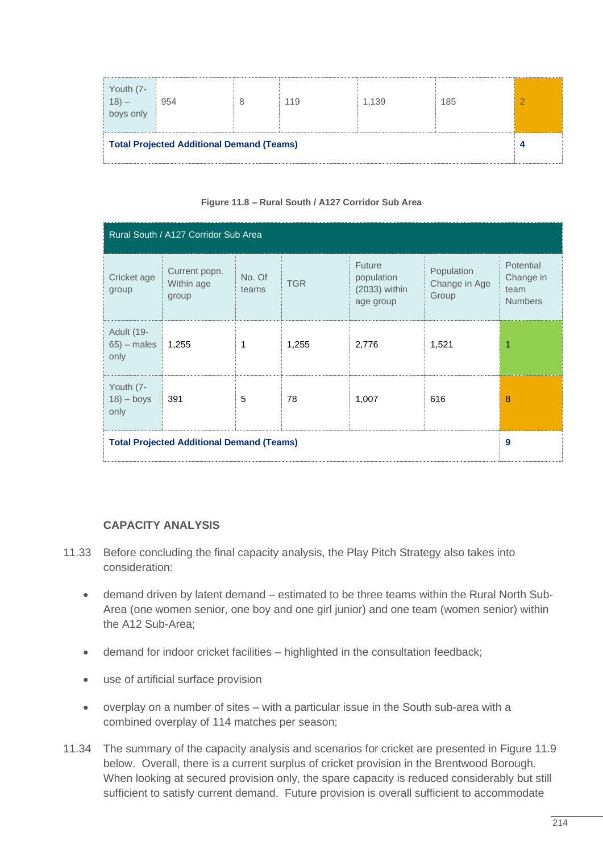| Youth (7-<br>18) –<br>boys only                  | 954 | 8 | 119 | 1.139 | 185 |  |
|--------------------------------------------------|-----|---|-----|-------|-----|--|
| <b>Total Projected Additional Demand (Teams)</b> |     |   |     |       |     |  |

#### **Figure 11.8 – Rural South / A127 Corridor Sub Area**

| Rural South / A127 Corridor Sub Area             |                                      |                 |            |                                                    |                                      |                                                  |  |
|--------------------------------------------------|--------------------------------------|-----------------|------------|----------------------------------------------------|--------------------------------------|--------------------------------------------------|--|
| Cricket age<br>group                             | Current popn.<br>Within age<br>group | No. Of<br>teams | <b>TGR</b> | Future<br>population<br>(2033) within<br>age group | Population<br>Change in Age<br>Group | Potential<br>Change in<br>team<br><b>Numbers</b> |  |
| Adult (19-<br>$65$ ) – males<br>only             | 1,255                                | 1               | 1,255      | 2,776                                              | 1,521                                | 1                                                |  |
| Youth (7-<br>$18$ ) – boys<br>only               | 391                                  | 5               | 78         | 1,007                                              | 616                                  | 8                                                |  |
| <b>Total Projected Additional Demand (Teams)</b> |                                      |                 |            |                                                    |                                      | 9                                                |  |

#### **CAPACITY ANALYSIS**

- 11.33 Before concluding the final capacity analysis, the Play Pitch Strategy also takes into consideration:
	- demand driven by latent demand estimated to be three teams within the Rural North Sub-Area (one women senior, one boy and one girl junior) and one team (women senior) within the A12 Sub-Area;
	- demand for indoor cricket facilities highlighted in the consultation feedback;
	- use of artificial surface provision
	- overplay on a number of sites with a particular issue in the South sub-area with a combined overplay of 114 matches per season;
- 11.34 The summary of the capacity analysis and scenarios for cricket are presented in Figure 11.9 below. Overall, there is a current surplus of cricket provision in the Brentwood Borough. When looking at secured provision only, the spare capacity is reduced considerably but still sufficient to satisfy current demand. Future provision is overall sufficient to accommodate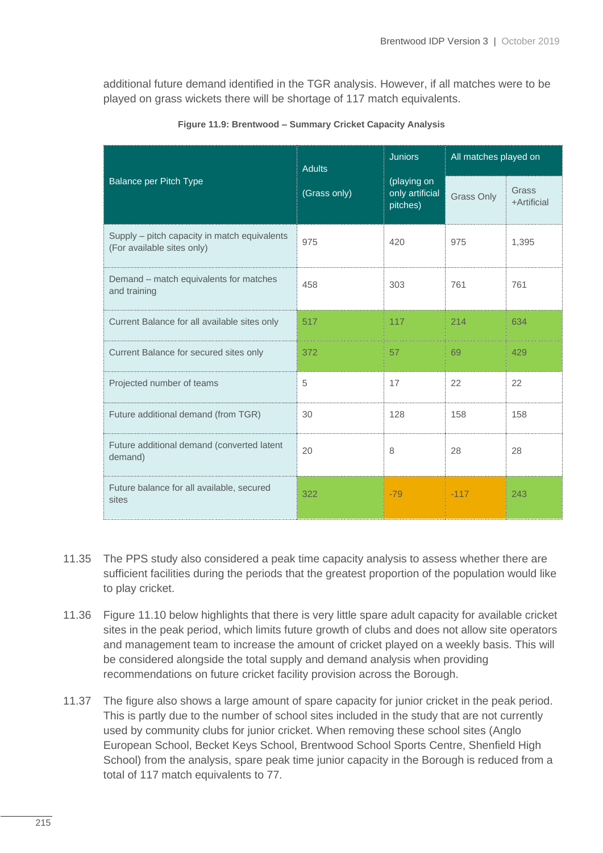additional future demand identified in the TGR analysis. However, if all matches were to be played on grass wickets there will be shortage of 117 match equivalents.

|                                                                            | <b>Adults</b> | <b>Juniors</b>                             | All matches played on |                      |  |
|----------------------------------------------------------------------------|---------------|--------------------------------------------|-----------------------|----------------------|--|
| <b>Balance per Pitch Type</b>                                              | (Grass only)  | (playing on<br>only artificial<br>pitches) | <b>Grass Only</b>     | Grass<br>+Artificial |  |
| Supply – pitch capacity in match equivalents<br>(For available sites only) | 975           | 420                                        | 975                   | 1,395                |  |
| Demand - match equivalents for matches<br>and training                     | 458           | 303                                        | 761                   | 761                  |  |
| Current Balance for all available sites only                               | 517           | 117                                        | 214                   | 634                  |  |
| Current Balance for secured sites only                                     | 372           | 57                                         | 69                    | 429                  |  |
| Projected number of teams                                                  | 5             | 17                                         | 22                    | 22                   |  |
| Future additional demand (from TGR)                                        | 30            | 128                                        | 158                   | 158                  |  |
| Future additional demand (converted latent<br>demand)                      | 20            | 8                                          | 28                    | 28                   |  |
| Future balance for all available, secured<br>sites                         | 322           | $-79$                                      | $-117$                | 243                  |  |

**Figure 11.9: Brentwood – Summary Cricket Capacity Analysis**

- 11.35 The PPS study also considered a peak time capacity analysis to assess whether there are sufficient facilities during the periods that the greatest proportion of the population would like to play cricket.
- 11.36 Figure 11.10 below highlights that there is very little spare adult capacity for available cricket sites in the peak period, which limits future growth of clubs and does not allow site operators and management team to increase the amount of cricket played on a weekly basis. This will be considered alongside the total supply and demand analysis when providing recommendations on future cricket facility provision across the Borough.
- 11.37 The figure also shows a large amount of spare capacity for junior cricket in the peak period. This is partly due to the number of school sites included in the study that are not currently used by community clubs for junior cricket. When removing these school sites (Anglo European School, Becket Keys School, Brentwood School Sports Centre, Shenfield High School) from the analysis, spare peak time junior capacity in the Borough is reduced from a total of 117 match equivalents to 77.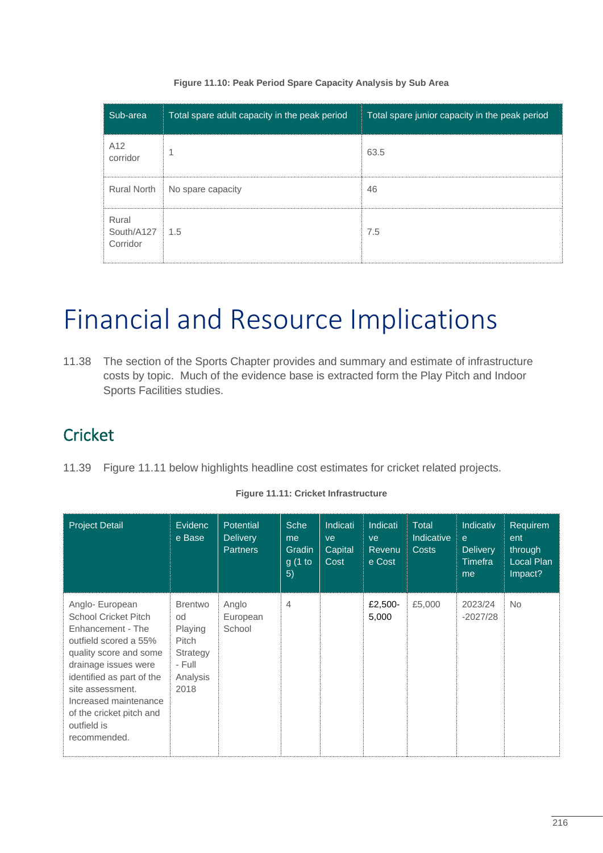| Sub-area                            | Total spare adult capacity in the peak period | Total spare junior capacity in the peak period |
|-------------------------------------|-----------------------------------------------|------------------------------------------------|
| A <sub>12</sub><br>corridor         | и                                             | 63.5                                           |
|                                     | Rural North   No spare capacity               | 46                                             |
| Rural<br>South/A127 1.5<br>Corridor |                                               | 7.5                                            |

#### **Figure 11.10: Peak Period Spare Capacity Analysis by Sub Area**

## Financial and Resource Implications

11.38 The section of the Sports Chapter provides and summary and estimate of infrastructure costs by topic. Much of the evidence base is extracted form the Play Pitch and Indoor Sports Facilities studies.

### **Cricket**

11.39 Figure 11.11 below highlights headline cost estimates for cricket related projects.

| <b>Project Detail</b>                                                                                                                                                                                                                                                               | <b>Evidenc</b><br>e Base                                                           | <b>Potential</b><br><b>Delivery</b><br><b>Partners</b> | <b>Sche</b><br>me<br>Gradin<br>g(1 to<br>5) | Indicati<br>ve<br>Capital<br>Cost | Indicati<br>ve<br>Revenu<br>e Cost | <b>Total</b><br><b>Indicative</b><br><b>Costs</b> | Indicativ<br>e<br><b>Delivery</b><br>Timefra<br>me | Requirem<br>ent<br>through<br>Local Plan<br>Impact? |
|-------------------------------------------------------------------------------------------------------------------------------------------------------------------------------------------------------------------------------------------------------------------------------------|------------------------------------------------------------------------------------|--------------------------------------------------------|---------------------------------------------|-----------------------------------|------------------------------------|---------------------------------------------------|----------------------------------------------------|-----------------------------------------------------|
| Anglo- European<br><b>School Cricket Pitch</b><br>Enhancement - The<br>outfield scored a 55%<br>quality score and some<br>drainage issues were<br>identified as part of the<br>site assessment.<br>Increased maintenance<br>of the cricket pitch and<br>outfield is<br>recommended. | <b>Brentwo</b><br>od<br>Playing<br>Pitch<br>Strategy<br>- Full<br>Analysis<br>2018 | Anglo<br>European<br>School                            | $\overline{4}$                              |                                   | £2,500-<br>5,000                   | £5,000                                            | 2023/24<br>$-2027/28$                              | <b>No</b>                                           |

#### **Figure 11.11: Cricket Infrastructure**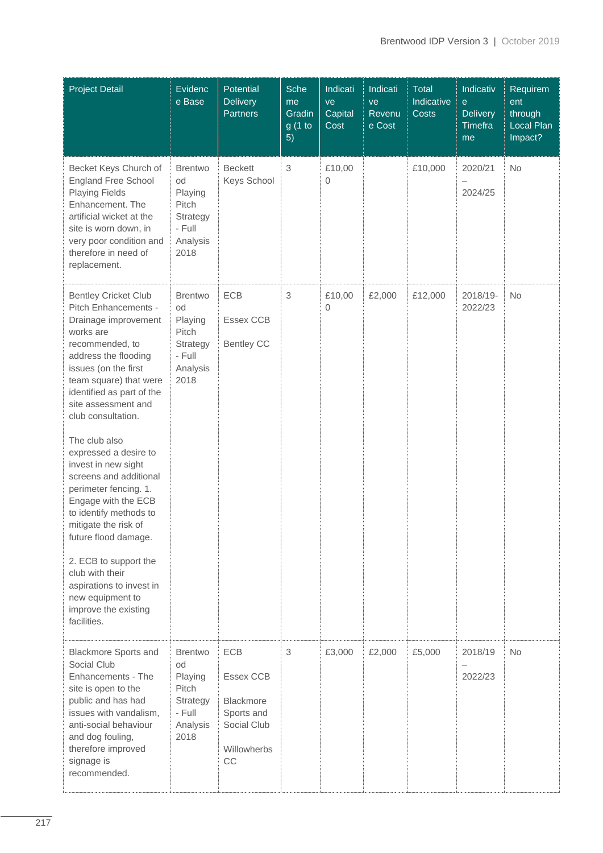| <b>Project Detail</b>                                                                                                                                                                                                                                                                                                                                                                                                                                                                                                                                                                                                   | Evidenc<br>e Base                                                                  | Potential<br><b>Delivery</b><br><b>Partners</b>                                               | Sche<br>me<br>Gradin<br>g (1 to<br>5) | Indicati<br>ve<br>Capital<br>Cost | Indicati<br>ve<br>Revenu<br>e Cost | Total<br>Indicative<br><b>Costs</b> | Indicativ<br>$\mathbf e$<br><b>Delivery</b><br>Timefra<br>me | Requirem<br>ent<br>through<br>Local Plan<br>Impact? |
|-------------------------------------------------------------------------------------------------------------------------------------------------------------------------------------------------------------------------------------------------------------------------------------------------------------------------------------------------------------------------------------------------------------------------------------------------------------------------------------------------------------------------------------------------------------------------------------------------------------------------|------------------------------------------------------------------------------------|-----------------------------------------------------------------------------------------------|---------------------------------------|-----------------------------------|------------------------------------|-------------------------------------|--------------------------------------------------------------|-----------------------------------------------------|
| Becket Keys Church of<br><b>England Free School</b><br><b>Playing Fields</b><br>Enhancement. The<br>artificial wicket at the<br>site is worn down, in<br>very poor condition and<br>therefore in need of<br>replacement.                                                                                                                                                                                                                                                                                                                                                                                                | <b>Brentwo</b><br>od<br>Playing<br>Pitch<br>Strategy<br>- Full<br>Analysis<br>2018 | <b>Beckett</b><br>Keys School                                                                 | $\,$ 3 $\,$                           | £10,00<br>0                       |                                    | £10,000                             | 2020/21<br>$\overline{\phantom{0}}$<br>2024/25               | No                                                  |
| <b>Bentley Cricket Club</b><br>Pitch Enhancements -<br>Drainage improvement<br>works are<br>recommended, to<br>address the flooding<br>issues (on the first<br>team square) that were<br>identified as part of the<br>site assessment and<br>club consultation.<br>The club also<br>expressed a desire to<br>invest in new sight<br>screens and additional<br>perimeter fencing. 1.<br>Engage with the ECB<br>to identify methods to<br>mitigate the risk of<br>future flood damage.<br>2. ECB to support the<br>club with their<br>aspirations to invest in<br>new equipment to<br>improve the existing<br>facilities. | <b>Brentwo</b><br>od<br>Playing<br>Pitch<br>Strategy<br>- Full<br>Analysis<br>2018 | ECB<br>Essex CCB<br><b>Bentley CC</b>                                                         | $\sqrt{3}$                            | £10,00<br>$\mathbf{0}$            | £2,000                             | £12,000                             | 2018/19-<br>2022/23                                          | <b>No</b>                                           |
| <b>Blackmore Sports and</b><br>Social Club<br>Enhancements - The<br>site is open to the<br>public and has had<br>issues with vandalism,<br>anti-social behaviour<br>and dog fouling,<br>therefore improved<br>signage is<br>recommended.                                                                                                                                                                                                                                                                                                                                                                                | <b>Brentwo</b><br>od<br>Playing<br>Pitch<br>Strategy<br>- Full<br>Analysis<br>2018 | <b>ECB</b><br>Essex CCB<br><b>Blackmore</b><br>Sports and<br>Social Club<br>Willowherbs<br>CC | $\,$ 3 $\,$                           | £3,000                            | £2,000                             | £5,000                              | 2018/19<br>2022/23                                           | <b>No</b>                                           |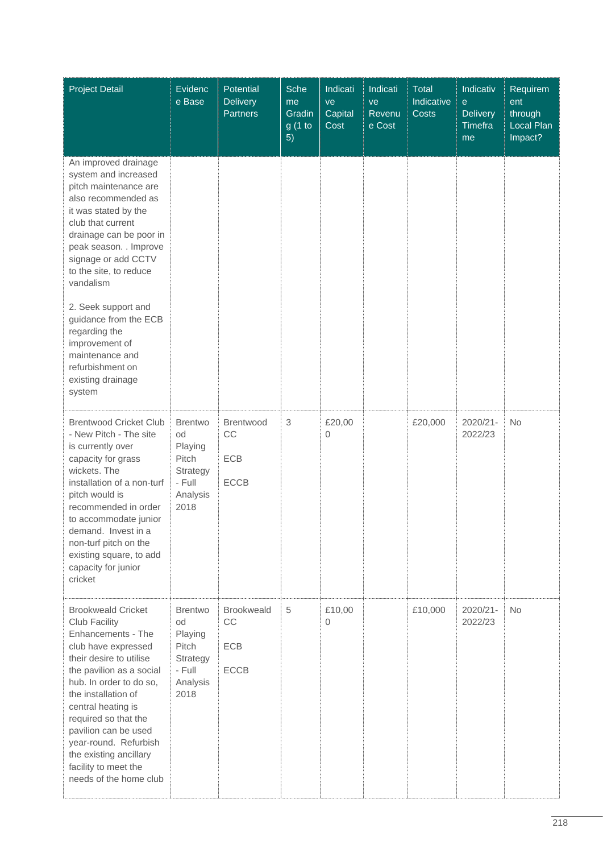| <b>Project Detail</b>                                                                                                                                                                                                                                                                                                                                                                                                 | Evidenc<br>e Base                                                                  | Potential<br><b>Delivery</b><br><b>Partners</b> | <b>Sche</b><br>me<br>Gradin<br>g(1 to<br>5) | Indicati<br>ve<br>Capital<br>Cost | Indicati<br>ve<br>Revenu<br>e Cost | Total<br>Indicative<br>Costs | Indicativ<br>$\mathbf{e}$<br><b>Delivery</b><br>Timefra<br>me | Requirem<br>ent<br>through<br>Local Plan<br>Impact? |
|-----------------------------------------------------------------------------------------------------------------------------------------------------------------------------------------------------------------------------------------------------------------------------------------------------------------------------------------------------------------------------------------------------------------------|------------------------------------------------------------------------------------|-------------------------------------------------|---------------------------------------------|-----------------------------------|------------------------------------|------------------------------|---------------------------------------------------------------|-----------------------------------------------------|
| An improved drainage<br>system and increased<br>pitch maintenance are<br>also recommended as<br>it was stated by the<br>club that current<br>drainage can be poor in<br>peak season. . Improve<br>signage or add CCTV<br>to the site, to reduce<br>vandalism<br>2. Seek support and<br>guidance from the ECB<br>regarding the<br>improvement of<br>maintenance and<br>refurbishment on<br>existing drainage<br>system |                                                                                    |                                                 |                                             |                                   |                                    |                              |                                                               |                                                     |
| <b>Brentwood Cricket Club</b><br>- New Pitch - The site<br>is currently over<br>capacity for grass<br>wickets. The<br>installation of a non-turf<br>pitch would is<br>recommended in order<br>to accommodate junior<br>demand. Invest in a<br>non-turf pitch on the<br>existing square, to add<br>capacity for junior<br>cricket                                                                                      | <b>Brentwo</b><br>od<br>Playing<br>Pitch<br>Strategy<br>- Full<br>Analysis<br>2018 | <b>Brentwood</b><br>CC<br>ECB<br><b>ECCB</b>    | $\,$ 3 $\,$                                 | £20,00<br>0                       |                                    | £20,000                      | 2020/21-<br>2022/23                                           | <b>No</b>                                           |
| <b>Brookweald Cricket</b><br>Club Facility<br>Enhancements - The<br>club have expressed<br>their desire to utilise<br>the pavilion as a social<br>hub. In order to do so,<br>the installation of<br>central heating is<br>required so that the<br>pavilion can be used<br>year-round. Refurbish<br>the existing ancillary<br>facility to meet the<br>needs of the home club                                           | <b>Brentwo</b><br>od<br>Playing<br>Pitch<br>Strategy<br>- Full<br>Analysis<br>2018 | <b>Brookweald</b><br>CC<br>ECB<br><b>ECCB</b>   | 5                                           | £10,00<br>0                       |                                    | £10,000                      | 2020/21-<br>2022/23                                           | <b>No</b>                                           |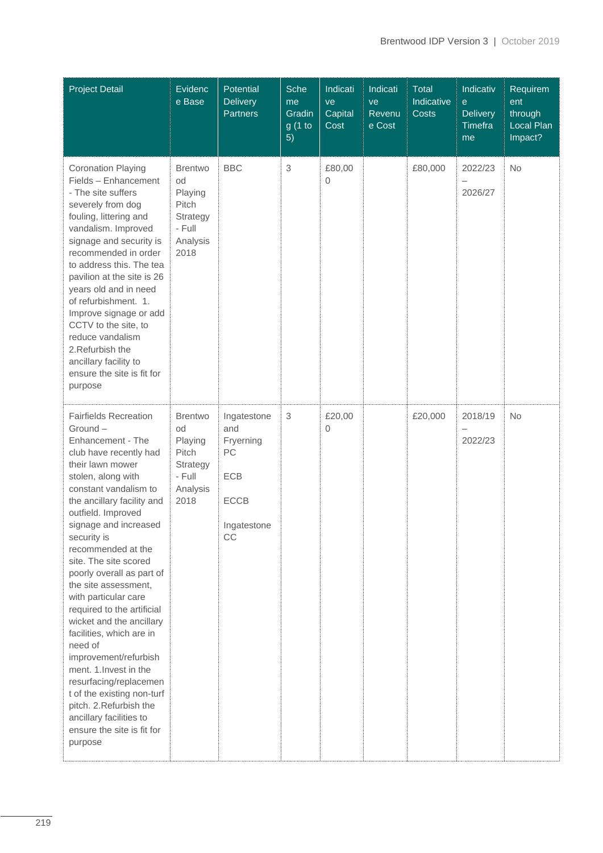| <b>Project Detail</b>                                                                                                                                                                                                                                                                                                                                                                                                                                                                                                                                                                                                                                                                        | Evidenc<br>e Base                                                                  | Potential<br><b>Delivery</b><br><b>Partners</b>                                  | Sche<br>me<br>Gradin<br>g (1 to<br>5) | Indicati<br>ve<br>Capital<br>Cost | Indicati<br>ve<br>Revenu<br>e Cost | Total<br>Indicative<br><b>Costs</b> | Indicativ<br>e<br><b>Delivery</b><br><b>Timefra</b><br>me | Requirem<br>ent<br>through<br>Local Plan<br>Impact? |
|----------------------------------------------------------------------------------------------------------------------------------------------------------------------------------------------------------------------------------------------------------------------------------------------------------------------------------------------------------------------------------------------------------------------------------------------------------------------------------------------------------------------------------------------------------------------------------------------------------------------------------------------------------------------------------------------|------------------------------------------------------------------------------------|----------------------------------------------------------------------------------|---------------------------------------|-----------------------------------|------------------------------------|-------------------------------------|-----------------------------------------------------------|-----------------------------------------------------|
| <b>Coronation Playing</b><br>Fields - Enhancement<br>- The site suffers<br>severely from dog<br>fouling, littering and<br>vandalism. Improved<br>signage and security is<br>recommended in order<br>to address this. The tea<br>pavilion at the site is 26<br>years old and in need<br>of refurbishment. 1.<br>Improve signage or add<br>CCTV to the site, to<br>reduce vandalism<br>2. Refurbish the<br>ancillary facility to<br>ensure the site is fit for<br>purpose                                                                                                                                                                                                                      | <b>Brentwo</b><br>od<br>Playing<br>Pitch<br>Strategy<br>- Full<br>Analysis<br>2018 | <b>BBC</b>                                                                       | 3                                     | £80,00<br>0                       |                                    | £80,000                             | 2022/23<br>$\overline{\phantom{0}}$<br>2026/27            | No                                                  |
| <b>Fairfields Recreation</b><br>Ground-<br>Enhancement - The<br>club have recently had<br>their lawn mower<br>stolen, along with<br>constant vandalism to<br>the ancillary facility and<br>outfield. Improved<br>signage and increased<br>security is<br>recommended at the<br>site. The site scored<br>poorly overall as part of<br>the site assessment,<br>with particular care<br>required to the artificial<br>wicket and the ancillary<br>facilities, which are in<br>need of<br>improvement/refurbish<br>ment. 1. Invest in the<br>resurfacing/replacemen<br>t of the existing non-turf<br>pitch. 2. Refurbish the<br>ancillary facilities to<br>ensure the site is fit for<br>purpose | <b>Brentwo</b><br>od<br>Playing<br>Pitch<br>Strategy<br>- Full<br>Analysis<br>2018 | Ingatestone<br>and<br>Fryerning<br>PC<br>ECB<br><b>ECCB</b><br>Ingatestone<br>CC | $\ensuremath{\mathsf{3}}$             | £20,00<br>0                       |                                    | £20,000                             | 2018/19<br>2022/23                                        | No                                                  |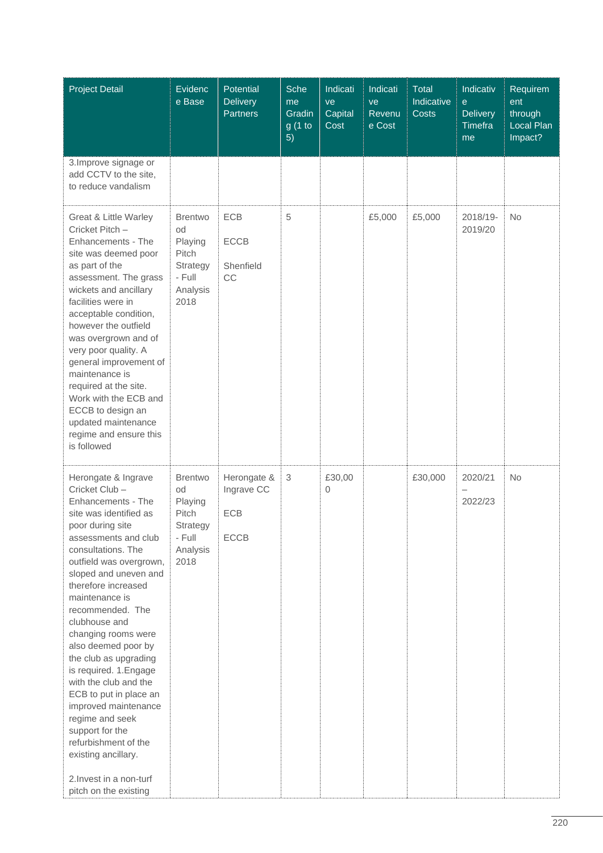| <b>Project Detail</b>                                                                                                                                                                                                                                                                                                                                                                                                                                                                                                                                                                                         | Evidenc<br>e Base                                                                  | Potential<br><b>Delivery</b><br><b>Partners</b> | Sche<br>me<br>Gradin<br>g (1 to<br>5) | Indicati<br>ve<br>Capital<br>Cost | Indicati<br>ve<br>Revenu<br>e Cost | <b>Total</b><br>Indicative<br><b>Costs</b> | Indicativ<br>$\mathbf{e}$<br><b>Delivery</b><br>Timefra<br>me | Requirem<br>ent<br>through<br>Local Plan<br>Impact? |
|---------------------------------------------------------------------------------------------------------------------------------------------------------------------------------------------------------------------------------------------------------------------------------------------------------------------------------------------------------------------------------------------------------------------------------------------------------------------------------------------------------------------------------------------------------------------------------------------------------------|------------------------------------------------------------------------------------|-------------------------------------------------|---------------------------------------|-----------------------------------|------------------------------------|--------------------------------------------|---------------------------------------------------------------|-----------------------------------------------------|
| 3. Improve signage or<br>add CCTV to the site,<br>to reduce vandalism                                                                                                                                                                                                                                                                                                                                                                                                                                                                                                                                         |                                                                                    |                                                 |                                       |                                   |                                    |                                            |                                                               |                                                     |
| Great & Little Warley<br>Cricket Pitch -<br>Enhancements - The<br>site was deemed poor<br>as part of the<br>assessment. The grass<br>wickets and ancillary<br>facilities were in<br>acceptable condition,<br>however the outfield<br>was overgrown and of<br>very poor quality. A<br>general improvement of<br>maintenance is<br>required at the site.<br>Work with the ECB and<br>ECCB to design an<br>updated maintenance<br>regime and ensure this<br>is followed                                                                                                                                          | <b>Brentwo</b><br>od<br>Playing<br>Pitch<br>Strategy<br>- Full<br>Analysis<br>2018 | ECB<br><b>ECCB</b><br>Shenfield<br>CC           | 5                                     |                                   | £5,000                             | £5,000                                     | 2018/19-<br>2019/20                                           | <b>No</b>                                           |
| Herongate & Ingrave<br>Cricket Club-<br>Enhancements - The<br>site was identified as<br>poor during site<br>assessments and club<br>consultations. The<br>outfield was overgrown,<br>sloped and uneven and<br>therefore increased<br>maintenance is<br>recommended. The<br>clubhouse and<br>changing rooms were<br>also deemed poor by<br>the club as upgrading<br>is required. 1. Engage<br>with the club and the<br>ECB to put in place an<br>improved maintenance<br>regime and seek<br>support for the<br>refurbishment of the<br>existing ancillary.<br>2. Invest in a non-turf<br>pitch on the existing | <b>Brentwo</b><br>od<br>Playing<br>Pitch<br>Strategy<br>- Full<br>Analysis<br>2018 | Herongate &<br>Ingrave CC<br>ECB<br><b>ECCB</b> | $\,$ 3 $\,$                           | £30,00<br>0                       |                                    | £30,000                                    | 2020/21<br>$\overline{\phantom{0}}$<br>2022/23                | <b>No</b>                                           |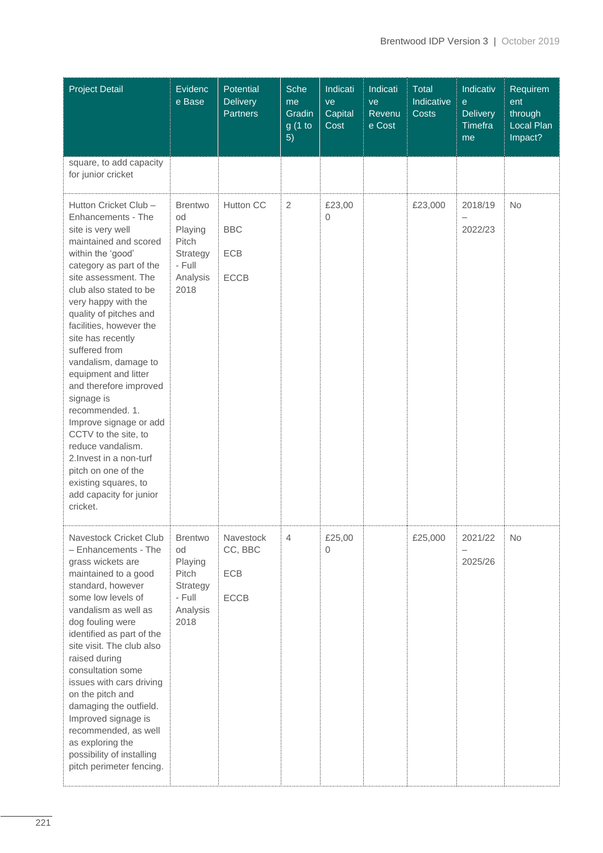| <b>Project Detail</b>                                                                                                                                                                                                                                                                                                                                                                                                                                                                                                                                                                                            | Evidenc<br>e Base                                                                  | Potential<br><b>Delivery</b><br><b>Partners</b> | Sche<br>me<br>Gradin<br>g (1 to<br>5) | Indicati<br>ve<br>Capital<br>Cost | Indicati<br>ve<br>Revenu<br>e Cost | Total<br>Indicative<br><b>Costs</b> | Indicativ<br>$\mathbf{e}$<br><b>Delivery</b><br><b>Timefra</b><br>me | Requirem<br>ent<br>through<br>Local Plan<br>Impact? |
|------------------------------------------------------------------------------------------------------------------------------------------------------------------------------------------------------------------------------------------------------------------------------------------------------------------------------------------------------------------------------------------------------------------------------------------------------------------------------------------------------------------------------------------------------------------------------------------------------------------|------------------------------------------------------------------------------------|-------------------------------------------------|---------------------------------------|-----------------------------------|------------------------------------|-------------------------------------|----------------------------------------------------------------------|-----------------------------------------------------|
| square, to add capacity<br>for junior cricket                                                                                                                                                                                                                                                                                                                                                                                                                                                                                                                                                                    |                                                                                    |                                                 |                                       |                                   |                                    |                                     |                                                                      |                                                     |
| Hutton Cricket Club -<br>Enhancements - The<br>site is very well<br>maintained and scored<br>within the 'good'<br>category as part of the<br>site assessment. The<br>club also stated to be<br>very happy with the<br>quality of pitches and<br>facilities, however the<br>site has recently<br>suffered from<br>vandalism, damage to<br>equipment and litter<br>and therefore improved<br>signage is<br>recommended. 1.<br>Improve signage or add<br>CCTV to the site, to<br>reduce vandalism.<br>2. Invest in a non-turf<br>pitch on one of the<br>existing squares, to<br>add capacity for junior<br>cricket. | <b>Brentwo</b><br>od<br>Playing<br>Pitch<br>Strategy<br>- Full<br>Analysis<br>2018 | Hutton CC<br><b>BBC</b><br>ECB<br><b>ECCB</b>   | $\overline{2}$                        | £23,00<br>0                       |                                    | £23,000                             | 2018/19<br>$\qquad \qquad -$<br>2022/23                              | <b>No</b>                                           |
| Navestock Cricket Club<br>- Enhancements - The<br>grass wickets are<br>maintained to a good<br>standard, however<br>some low levels of<br>vandalism as well as<br>dog fouling were<br>identified as part of the<br>site visit. The club also<br>raised during<br>consultation some<br>issues with cars driving<br>on the pitch and<br>damaging the outfield.<br>Improved signage is<br>recommended, as well<br>as exploring the<br>possibility of installing<br>pitch perimeter fencing.                                                                                                                         | <b>Brentwo</b><br>od<br>Playing<br>Pitch<br>Strategy<br>- Full<br>Analysis<br>2018 | Navestock<br>CC, BBC<br>ECB<br><b>ECCB</b>      | $\overline{4}$                        | £25,00<br>0                       |                                    | £25,000                             | 2021/22<br>2025/26                                                   | No                                                  |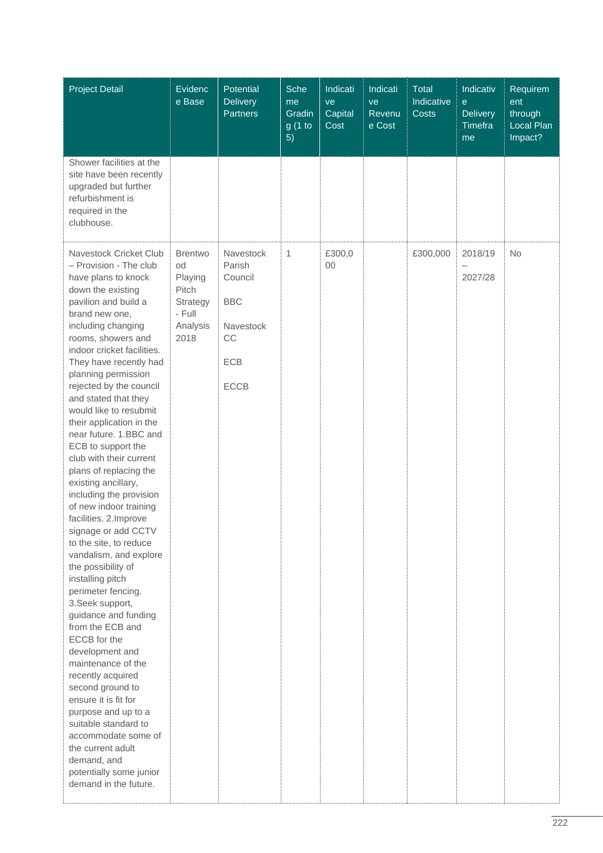| <b>Project Detail</b>                                                                                                                                                                                                                                                                                                                                                                                                                                                                                                                                                                                                                                                                                                                                                                                                                                                                                                                                                                                                                                                                    | Evidenc<br>e Base                                                                  | Potential<br><b>Delivery</b><br><b>Partners</b>                                | Sche<br>me<br>Gradin<br>g (1 to<br>5) | Indicati<br>ve<br>Capital<br>Cost | Indicati<br>ve<br>Revenu<br>e Cost | <b>Total</b><br>Indicative<br><b>Costs</b> | Indicativ<br>$\mathbf{e}$<br><b>Delivery</b><br>Timefra<br>me | Requirem<br>ent<br>through<br>Local Plan<br>Impact? |
|------------------------------------------------------------------------------------------------------------------------------------------------------------------------------------------------------------------------------------------------------------------------------------------------------------------------------------------------------------------------------------------------------------------------------------------------------------------------------------------------------------------------------------------------------------------------------------------------------------------------------------------------------------------------------------------------------------------------------------------------------------------------------------------------------------------------------------------------------------------------------------------------------------------------------------------------------------------------------------------------------------------------------------------------------------------------------------------|------------------------------------------------------------------------------------|--------------------------------------------------------------------------------|---------------------------------------|-----------------------------------|------------------------------------|--------------------------------------------|---------------------------------------------------------------|-----------------------------------------------------|
| Shower facilities at the<br>site have been recently<br>upgraded but further<br>refurbishment is<br>required in the<br>clubhouse.                                                                                                                                                                                                                                                                                                                                                                                                                                                                                                                                                                                                                                                                                                                                                                                                                                                                                                                                                         |                                                                                    |                                                                                |                                       |                                   |                                    |                                            |                                                               |                                                     |
| Navestock Cricket Club<br>- Provision - The club<br>have plans to knock<br>down the existing<br>pavilion and build a<br>brand new one,<br>including changing<br>rooms, showers and<br>indoor cricket facilities.<br>They have recently had<br>planning permission<br>rejected by the council<br>and stated that they<br>would like to resubmit<br>their application in the<br>near future. 1.BBC and<br>ECB to support the<br>club with their current<br>plans of replacing the<br>existing ancillary,<br>including the provision<br>of new indoor training<br>facilities. 2. Improve<br>signage or add CCTV<br>to the site, to reduce<br>vandalism, and explore<br>the possibility of<br>installing pitch<br>perimeter fencing.<br>3. Seek support,<br>guidance and funding<br>from the ECB and<br>ECCB for the<br>development and<br>maintenance of the<br>recently acquired<br>second ground to<br>ensure it is fit for<br>purpose and up to a<br>suitable standard to<br>accommodate some of<br>the current adult<br>demand, and<br>potentially some junior<br>demand in the future. | <b>Brentwo</b><br>od<br>Playing<br>Pitch<br>Strategy<br>- Full<br>Analysis<br>2018 | Navestock<br>Parish<br>Council<br><b>BBC</b><br>Navestock<br>CC<br>ECB<br>ECCB | $\mathbf{1}$                          | £300,0<br>00                      |                                    | £300,000                                   | 2018/19<br>$\overline{\phantom{0}}$<br>2027/28                | <b>No</b>                                           |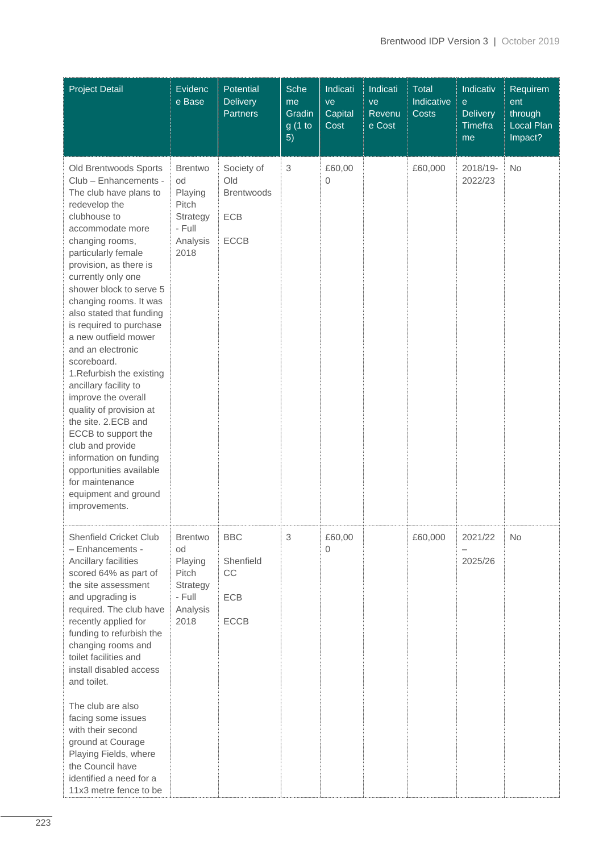| <b>Project Detail</b>                                                                                                                                                                                                                                                                                                                                                                                                                                                                                                                                                                                                                                                                      | Evidenc<br>e Base                                                                  | Potential<br><b>Delivery</b><br><b>Partners</b>              | Sche<br>me<br>Gradin<br>g(1 to<br>5) | Indicati<br>ve<br>Capital<br>Cost | Indicati<br>ve<br>Revenu<br>e Cost | <b>Total</b><br>Indicative<br><b>Costs</b> | Indicativ<br>$\mathbf{e}$<br><b>Delivery</b><br>Timefra<br>me | Requirem<br>ent<br>through<br>Local Plan<br>Impact? |
|--------------------------------------------------------------------------------------------------------------------------------------------------------------------------------------------------------------------------------------------------------------------------------------------------------------------------------------------------------------------------------------------------------------------------------------------------------------------------------------------------------------------------------------------------------------------------------------------------------------------------------------------------------------------------------------------|------------------------------------------------------------------------------------|--------------------------------------------------------------|--------------------------------------|-----------------------------------|------------------------------------|--------------------------------------------|---------------------------------------------------------------|-----------------------------------------------------|
| Old Brentwoods Sports<br>Club - Enhancements -<br>The club have plans to<br>redevelop the<br>clubhouse to<br>accommodate more<br>changing rooms,<br>particularly female<br>provision, as there is<br>currently only one<br>shower block to serve 5<br>changing rooms. It was<br>also stated that funding<br>is required to purchase<br>a new outfield mower<br>and an electronic<br>scoreboard.<br>1. Refurbish the existing<br>ancillary facility to<br>improve the overall<br>quality of provision at<br>the site. 2.ECB and<br>ECCB to support the<br>club and provide<br>information on funding<br>opportunities available<br>for maintenance<br>equipment and ground<br>improvements. | <b>Brentwo</b><br>od<br>Playing<br>Pitch<br>Strategy<br>- Full<br>Analysis<br>2018 | Society of<br>Old<br><b>Brentwoods</b><br>ECB<br><b>ECCB</b> | 3                                    | £60,00<br>0                       |                                    | £60,000                                    | 2018/19-<br>2022/23                                           | No                                                  |
| Shenfield Cricket Club<br>- Enhancements -<br>Ancillary facilities<br>scored 64% as part of<br>the site assessment<br>and upgrading is<br>required. The club have<br>recently applied for<br>funding to refurbish the<br>changing rooms and<br>toilet facilities and<br>install disabled access<br>and toilet.<br>The club are also<br>facing some issues<br>with their second<br>ground at Courage<br>Playing Fields, where<br>the Council have<br>identified a need for a<br>11x3 metre fence to be                                                                                                                                                                                      | <b>Brentwo</b><br>od<br>Playing<br>Pitch<br>Strategy<br>- Full<br>Analysis<br>2018 | <b>BBC</b><br>Shenfield<br>CC<br>ECB<br>ECCB                 | 3                                    | £60,00<br>0                       |                                    | £60,000                                    | 2021/22<br>2025/26                                            | No                                                  |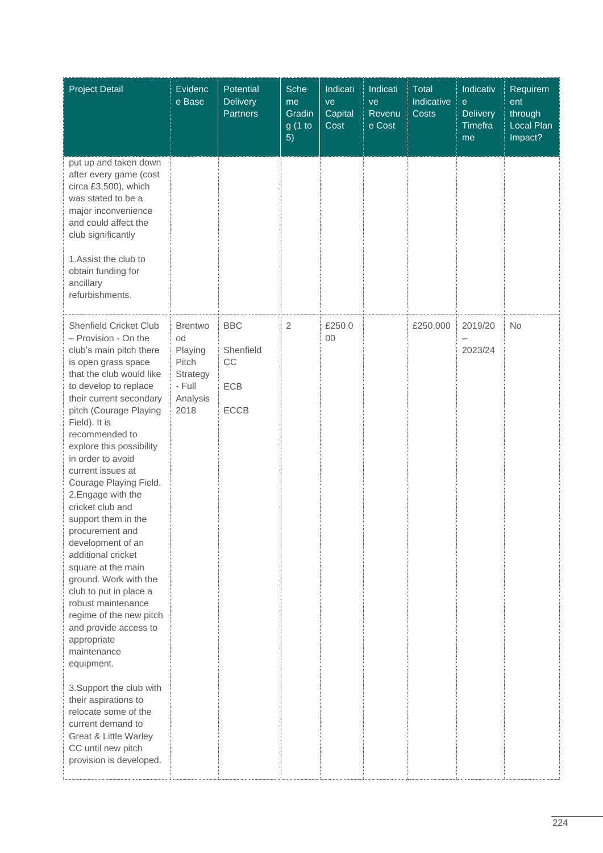| <b>Project Detail</b>                                                                                                                                                                                                                                                                                                                                                                                                                                                                                                                                                                                                                                                                                                                                                                                                                                                    | Evidenc<br>e Base                                                                  | Potential<br><b>Delivery</b><br><b>Partners</b>     | Sche<br>me<br>Gradin<br>g(1 to<br>5) | Indicati<br>ve<br>Capital<br>Cost | Indicati<br>ve<br>Revenu<br>e Cost | <b>Total</b><br>Indicative<br>Costs | Indicativ<br>$\mathbf{e}$<br><b>Delivery</b><br><b>Timefra</b><br>me | Requirem<br>ent<br>through<br>Local Plan<br>Impact? |
|--------------------------------------------------------------------------------------------------------------------------------------------------------------------------------------------------------------------------------------------------------------------------------------------------------------------------------------------------------------------------------------------------------------------------------------------------------------------------------------------------------------------------------------------------------------------------------------------------------------------------------------------------------------------------------------------------------------------------------------------------------------------------------------------------------------------------------------------------------------------------|------------------------------------------------------------------------------------|-----------------------------------------------------|--------------------------------------|-----------------------------------|------------------------------------|-------------------------------------|----------------------------------------------------------------------|-----------------------------------------------------|
| put up and taken down<br>after every game (cost<br>circa £3,500), which<br>was stated to be a<br>major inconvenience<br>and could affect the<br>club significantly<br>1. Assist the club to<br>obtain funding for<br>ancillary<br>refurbishments.                                                                                                                                                                                                                                                                                                                                                                                                                                                                                                                                                                                                                        |                                                                                    |                                                     |                                      |                                   |                                    |                                     |                                                                      |                                                     |
| <b>Shenfield Cricket Club</b><br>- Provision - On the<br>club's main pitch there<br>is open grass space<br>that the club would like<br>to develop to replace<br>their current secondary<br>pitch (Courage Playing<br>Field). It is<br>recommended to<br>explore this possibility<br>in order to avoid<br>current issues at<br>Courage Playing Field.<br>2. Engage with the<br>cricket club and<br>support them in the<br>procurement and<br>development of an<br>additional cricket<br>square at the main<br>ground. Work with the<br>club to put in place a<br>robust maintenance<br>regime of the new pitch<br>and provide access to<br>appropriate<br>maintenance<br>equipment.<br>3. Support the club with<br>their aspirations to<br>relocate some of the<br>current demand to<br><b>Great &amp; Little Warley</b><br>CC until new pitch<br>provision is developed. | <b>Brentwo</b><br>od<br>Playing<br>Pitch<br>Strategy<br>- Full<br>Analysis<br>2018 | <b>BBC</b><br>Shenfield<br>CC<br>ECB<br><b>ECCB</b> | $\overline{2}$                       | £250,0<br>00                      |                                    | £250,000                            | 2019/20<br>$\overline{\phantom{0}}$<br>2023/24                       | <b>No</b>                                           |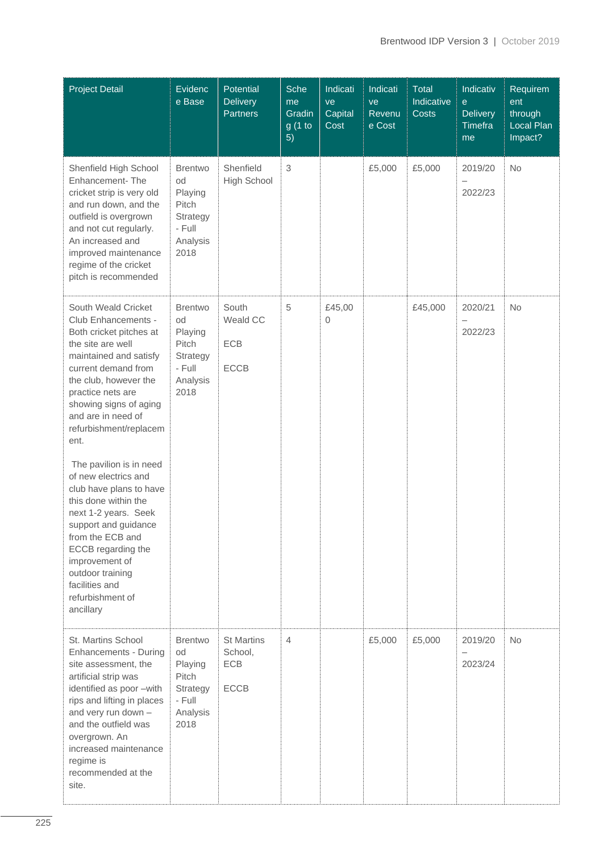| <b>Project Detail</b>                                                                                                                                                                                                                                                                                                                                                                                                                                                                                                                                                | Evidenc<br>e Base                                                                  | Potential<br><b>Delivery</b><br><b>Partners</b>    | Sche<br>me<br>Gradin<br>g(1 to<br>5) | Indicati<br>ve<br>Capital<br>Cost | Indicati<br>ve<br>Revenu<br>e Cost | <b>Total</b><br>Indicative<br>Costs | Indicativ<br>$\mathbf{e}$<br><b>Delivery</b><br><b>Timefra</b><br>me | Requirem<br>ent<br>through<br>Local Plan<br>Impact? |
|----------------------------------------------------------------------------------------------------------------------------------------------------------------------------------------------------------------------------------------------------------------------------------------------------------------------------------------------------------------------------------------------------------------------------------------------------------------------------------------------------------------------------------------------------------------------|------------------------------------------------------------------------------------|----------------------------------------------------|--------------------------------------|-----------------------------------|------------------------------------|-------------------------------------|----------------------------------------------------------------------|-----------------------------------------------------|
| Shenfield High School<br>Enhancement-The<br>cricket strip is very old<br>and run down, and the<br>outfield is overgrown<br>and not cut regularly.<br>An increased and<br>improved maintenance<br>regime of the cricket<br>pitch is recommended                                                                                                                                                                                                                                                                                                                       | <b>Brentwo</b><br>od<br>Playing<br>Pitch<br>Strategy<br>- Full<br>Analysis<br>2018 | Shenfield<br>High School                           | $\,$ 3 $\,$                          |                                   | £5,000                             | £5,000                              | 2019/20<br>2022/23                                                   | No                                                  |
| South Weald Cricket<br>Club Enhancements -<br>Both cricket pitches at<br>the site are well<br>maintained and satisfy<br>current demand from<br>the club, however the<br>practice nets are<br>showing signs of aging<br>and are in need of<br>refurbishment/replacem<br>ent.<br>The pavilion is in need<br>of new electrics and<br>club have plans to have<br>this done within the<br>next 1-2 years. Seek<br>support and guidance<br>from the ECB and<br>ECCB regarding the<br>improvement of<br>outdoor training<br>facilities and<br>refurbishment of<br>ancillary | <b>Brentwo</b><br>od<br>Playing<br>Pitch<br>Strategy<br>- Full<br>Analysis<br>2018 | South<br>Weald CC<br>ECB<br><b>ECCB</b>            | 5                                    | £45,00<br>0                       |                                    | £45,000                             | 2020/21<br>$\qquad \qquad -$<br>2022/23                              | <b>No</b>                                           |
| St. Martins School<br><b>Enhancements - During</b><br>site assessment, the<br>artificial strip was<br>identified as poor -with<br>rips and lifting in places<br>and very run down -<br>and the outfield was<br>overgrown. An<br>increased maintenance<br>regime is<br>recommended at the<br>site.                                                                                                                                                                                                                                                                    | <b>Brentwo</b><br>od<br>Playing<br>Pitch<br>Strategy<br>- Full<br>Analysis<br>2018 | <b>St Martins</b><br>School,<br>ECB<br><b>ECCB</b> | $\overline{4}$                       |                                   | £5,000                             | £5,000                              | 2019/20<br>2023/24                                                   | <b>No</b>                                           |